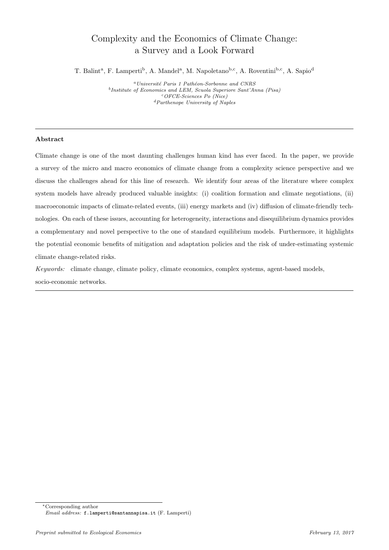# <span id="page-0-0"></span>Complexity and the Economics of Climate Change: a Survey and a Look Forward

T. Balint<sup>a</sup>, F. Lamperti<sup>b</sup>, A. Mandel<sup>a</sup>, M. Napoletano<sup>b,c</sup>, A. Roventini<sup>b,c</sup>, A. Sapio<sup>d</sup>

 $a$ Université Paris 1 Pathéon-Sorbonne and CNRS b Institute of Economics and LEM, Scuola Superiore Sant'Anna (Pisa)  $c$ <sup>c</sup>OFCE-Sciences Po (Nice) <sup>d</sup>Parthenope University of Naples

# Abstract

Climate change is one of the most daunting challenges human kind has ever faced. In the paper, we provide a survey of the micro and macro economics of climate change from a complexity science perspective and we discuss the challenges ahead for this line of research. We identify four areas of the literature where complex system models have already produced valuable insights: (i) coalition formation and climate negotiations, (ii) macroeconomic impacts of climate-related events, (iii) energy markets and (iv) diffusion of climate-friendly technologies. On each of these issues, accounting for heterogeneity, interactions and disequilibrium dynamics provides a complementary and novel perspective to the one of standard equilibrium models. Furthermore, it highlights the potential economic benefits of mitigation and adaptation policies and the risk of under-estimating systemic climate change-related risks.

Keywords: climate change, climate policy, climate economics, complex systems, agent-based models, socio-economic networks.

<sup>∗</sup>Corresponding author

Email address: f.lamperti@santannapisa.it (F. Lamperti)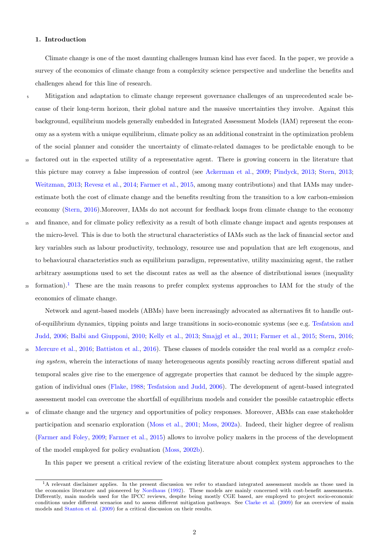## 1. Introduction

Climate change is one of the most daunting challenges human kind has ever faced. In the paper, we provide a survey of the economics of climate change from a complexity science perspective and underline the benefits and challenges ahead for this line of research.

- <sup>5</sup> Mitigation and adaptation to climate change represent governance challenges of an unprecedented scale because of their long-term horizon, their global nature and the massive uncertainties they involve. Against this background, equilibrium models generally embedded in Integrated Assessment Models (IAM) represent the economy as a system with a unique equilibrium, climate policy as an additional constraint in the optimization problem of the social planner and consider the uncertainty of climate-related damages to be predictable enough to be
- <sup>10</sup> factored out in the expected utility of a representative agent. There is growing concern in the literature that this picture may convey a false impression of control (see [Ackerman et al.,](#page-22-0) [2009;](#page-22-0) [Pindyck,](#page-27-0) [2013;](#page-27-0) [Stern,](#page-28-0) [2013;](#page-28-0) [Weitzman,](#page-29-0) [2013;](#page-29-0) [Revesz et al.,](#page-28-1) [2014;](#page-28-1) [Farmer et al.,](#page-24-0) [2015,](#page-24-0) among many contributions) and that IAMs may underestimate both the cost of climate change and the benefits resulting from the transition to a low carbon-emission economy [\(Stern,](#page-29-1) [2016\)](#page-29-1).Moreover, IAMs do not account for feedback loops from climate change to the economy
- <sup>15</sup> and finance, and for climate policy reflexivity as a result of both climate change impact and agents responses at the micro-level. This is due to both the structural characteristics of IAMs such as the lack of financial sector and key variables such as labour productivity, technology, resource use and population that are left exogenous, and to behavioural characteristics such as equilibrium paradigm, representative, utility maximizing agent, the rather arbitrary assumptions used to set the discount rates as well as the absence of distributional issues (inequality
- <sup>20</sup> formation).<sup>[1](#page-0-0)</sup> These are the main reasons to prefer complex systems approaches to IAM for the study of the economics of climate change.

Network and agent-based models (ABMs) have been increasingly advocated as alternatives fit to handle out[o](#page-29-2)f-equilibrium dynamics, tipping points and large transitions in socio-economic systems (see e.g. [Tesfatsion and](#page-29-2) [Judd,](#page-29-2) [2006;](#page-29-2) [Balbi and Giupponi,](#page-22-1) [2010;](#page-22-1) [Kelly et al.,](#page-26-0) [2013;](#page-26-0) [Smajgl et al.,](#page-28-2) [2011;](#page-28-2) [Farmer et al.,](#page-24-0) [2015;](#page-24-0) [Stern,](#page-29-1) [2016;](#page-29-1)

<sup>25</sup> [Mercure et al.,](#page-27-1) [2016;](#page-27-1) [Battiston et al.,](#page-22-2) [2016\)](#page-22-2). These classes of models consider the real world as a complex evolving system, wherein the interactions of many heterogeneous agents possibly reacting across different spatial and temporal scales give rise to the emergence of aggregate properties that cannot be deduced by the simple aggregation of individual ones [\(Flake,](#page-24-1) [1988;](#page-24-1) [Tesfatsion and Judd,](#page-29-2) [2006\)](#page-29-2). The development of agent-based integrated assessment model can overcome the shortfall of equilibrium models and consider the possible catastrophic effects <sup>30</sup> of climate change and the urgency and opportunities of policy responses. Moreover, ABMs can ease stakeholder participation and scenario exploration [\(Moss et al.,](#page-27-2) [2001;](#page-27-2) [Moss,](#page-27-3) [2002a\)](#page-27-3). Indeed, their higher degree of realism [\(Farmer and Foley,](#page-24-2) [2009;](#page-24-2) [Farmer et al.,](#page-24-0) [2015\)](#page-24-0) allows to involve policy makers in the process of the development of the model employed for policy evaluation [\(Moss,](#page-27-4) [2002b\)](#page-27-4).

In this paper we present a critical review of the existing literature about complex system approaches to the

 $1A$  relevant disclaimer applies. In the present discussion we refer to standard integrated assessment models as those used in the economics literature and pioneered by [Nordhaus](#page-27-5) [\(1992\)](#page-27-5). These models are mainly concerned with cost-benefit assessments. Differently, main models used for the IPCC reviews, despite being mostly CGE based, are employed to project socio-economic conditions under different scenarios and to assess different mitigation pathways. See [Clarke et al.](#page-23-0) [\(2009\)](#page-23-0) for an overview of main models and [Stanton et al.](#page-28-3) [\(2009\)](#page-28-3) for a critical discussion on their results.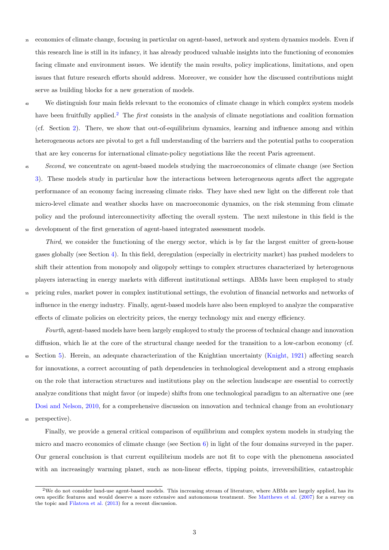- <sup>35</sup> economics of climate change, focusing in particular on agent-based, network and system dynamics models. Even if this research line is still in its infancy, it has already produced valuable insights into the functioning of economies facing climate and environment issues. We identify the main results, policy implications, limitations, and open issues that future research efforts should address. Moreover, we consider how the discussed contributions might serve as building blocks for a new generation of models.
- 

<sup>40</sup> We distinguish four main fields relevant to the economics of climate change in which complex system models have been fruitfully applied.<sup>[2](#page-0-0)</sup> The *first* consists in the analysis of climate negotiations and coalition formation (cf. Section [2\)](#page-3-0). There, we show that out-of-equilibrium dynamics, learning and influence among and within heterogeneous actors are pivotal to get a full understanding of the barriers and the potential paths to cooperation that are key concerns for international climate-policy negotiations like the recent Paris agreement.

<sup>45</sup> Second, we concentrate on agent-based models studying the macroeconomics of climate change (see Section [3\)](#page-6-0). These models study in particular how the interactions between heterogeneous agents affect the aggregate performance of an economy facing increasing climate risks. They have shed new light on the different role that micro-level climate and weather shocks have on macroeconomic dynamics, on the risk stemming from climate policy and the profound interconnectivity affecting the overall system. The next milestone in this field is the <sup>50</sup> development of the first generation of agent-based integrated assessment models.

Third, we consider the functioning of the energy sector, which is by far the largest emitter of green-house gases globally (see Section [4\)](#page-12-0). In this field, deregulation (especially in electricity market) has pushed modelers to shift their attention from monopoly and oligopoly settings to complex structures characterized by heterogenous players interacting in energy markets with different institutional settings. ABMs have been employed to study <sup>55</sup> pricing rules, market power in complex institutional settings, the evolution of financial networks and networks of influence in the energy industry. Finally, agent-based models have also been employed to analyze the comparative effects of climate policies on electricity prices, the energy technology mix and energy efficiency.

Fourth, agent-based models have been largely employed to study the process of technical change and innovation diffusion, which lie at the core of the structural change needed for the transition to a low-carbon economy (cf. <sup>60</sup> Section [5\)](#page-15-0). Herein, an adequate characterization of the Knightian uncertainty [\(Knight,](#page-26-1) [1921\)](#page-26-1) affecting search for innovations, a correct accounting of path dependencies in technological development and a strong emphasis on the role that interaction structures and institutions play on the selection landscape are essential to correctly analyze conditions that might favor (or impede) shifts from one technological paradigm to an alternative one (see [Dosi and Nelson,](#page-24-3) [2010,](#page-24-3) for a comprehensive discussion on innovation and technical change from an evolutionary <sup>65</sup> perspective).

Finally, we provide a general critical comparison of equilibrium and complex system models in studying the micro and macro economics of climate change (see Section [6\)](#page-18-0) in light of the four domains surveyed in the paper. Our general conclusion is that current equilibrium models are not fit to cope with the phenomena associated with an increasingly warming planet, such as non-linear effects, tipping points, irreversibilities, catastrophic

 $2$ We do not consider land-use agent-based models. This increasing stream of literature, where ABMs are largely applied, has its own specific features and would deserve a more extensive and autonomous treatment. See [Matthews et al.](#page-27-6) [\(2007\)](#page-27-6) for a survey on the topic and [Filatova et al.](#page-24-4) [\(2013\)](#page-24-4) for a recent discussion.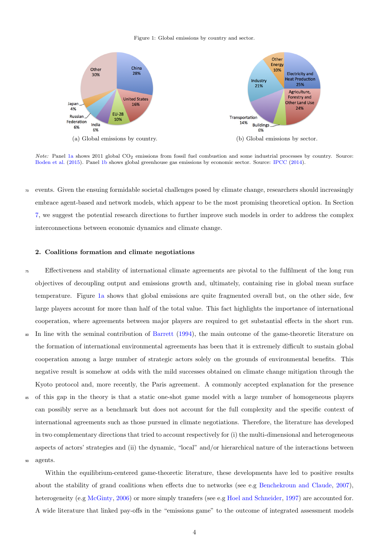Figure 1: Global emissions by country and sector.

<span id="page-3-1"></span>

Note: Panel [1a](#page-3-1) shows 2011 global  $CO<sub>2</sub>$  emissions from fossil fuel combustion and some industrial processes by country. Source: [Boden et al.](#page-22-3) [\(2015\)](#page-22-3). Panel [1b](#page-3-1) shows global greenhouse gas emissions by economic sector. Source: [IPCC](#page-25-0) [\(2014\)](#page-25-0).

<sup>70</sup> events. Given the ensuing formidable societal challenges posed by climate change, researchers should increasingly embrace agent-based and network models, which appear to be the most promising theoretical option. In Section [7,](#page-20-0) we suggest the potential research directions to further improve such models in order to address the complex interconnections between economic dynamics and climate change.

#### <span id="page-3-0"></span>2. Coalitions formation and climate negotiations

<sup>75</sup> Effectiveness and stability of international climate agreements are pivotal to the fulfilment of the long run objectives of decoupling output and emissions growth and, ultimately, containing rise in global mean surface temperature. Figure [1a](#page-3-1) shows that global emissions are quite fragmented overall but, on the other side, few large players account for more than half of the total value. This fact highlights the importance of international cooperation, where agreements between major players are required to get substantial effects in the short run. <sup>80</sup> In line with the seminal contribution of [Barrett](#page-22-4) [\(1994\)](#page-22-4), the main outcome of the game-theoretic literature on the formation of international environmental agreements has been that it is extremely difficult to sustain global cooperation among a large number of strategic actors solely on the grounds of environmental benefits. This negative result is somehow at odds with the mild successes obtained on climate change mitigation through the Kyoto protocol and, more recently, the Paris agreement. A commonly accepted explanation for the presence <sup>85</sup> of this gap in the theory is that a static one-shot game model with a large number of homogeneous players can possibly serve as a benchmark but does not account for the full complexity and the specific context of international agreements such as those pursued in climate negotiations. Therefore, the literature has developed in two complementary directions that tried to account respectively for (i) the multi-dimensional and heterogeneous aspects of actors' strategies and (ii) the dynamic, "local" and/or hierarchical nature of the interactions between <sup>90</sup> agents.

Within the equilibrium-centered game-theoretic literature, these developments have led to positive results about the stability of grand coalitions when effects due to networks (see e.g [Benchekroun and Claude,](#page-22-5) [2007\)](#page-22-5), heterogeneity (e.g [McGinty,](#page-27-7) [2006\)](#page-27-7) or more simply transfers (see e.g [Hoel and Schneider,](#page-25-1) [1997\)](#page-25-1) are accounted for. A wide literature that linked pay-offs in the "emissions game" to the outcome of integrated assessment models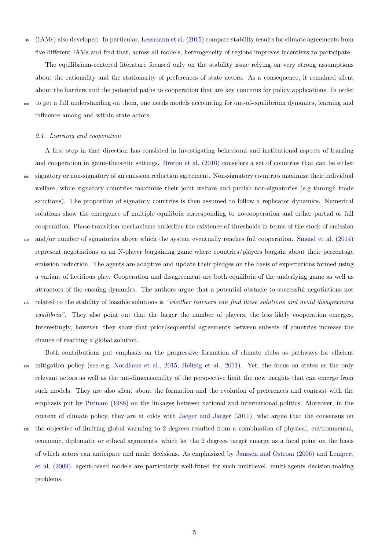<sup>95</sup> (IAMs) also developed. In particular, [Lessmann et al.](#page-27-8) [\(2015\)](#page-27-8) compare stability results for climate agreements from five different IAMs and find that, across all models, heterogeneity of regions improves incentives to participate.

The equilibrium-centered literature focused only on the stability issue relying on very strong assumptions about the rationality and the stationarity of preferences of state actors. As a consequence, it remained silent about the barriers and the potential paths to cooperation that are key concerns for policy applications. In order <sup>100</sup> to get a full understanding on them, one needs models accounting for out-of-equilibrium dynamics, learning and influence among and within state actors.

A first step in that direction has consisted in investigating behavioral and institutional aspects of learning

## 2.1. Learning and cooperation

and cooperation in game-theoretic settings. [Breton et al.](#page-23-1) [\(2010\)](#page-23-1) considers a set of countries that can be either <sup>105</sup> signatory or non-signatory of an emission reduction agreement. Non-signatory countries maximize their individual welfare, while signatory countries maximize their joint welfare and punish non-signatories (e.g through trade sanctions). The proportion of signatory countries is then assumed to follow a replicator dynamics. Numerical solutions show the emergence of multiple equilibria corresponding to no-cooperation and either partial or full cooperation. Phase transition mechanisms underline the existence of thresholds in terms of the stock of emission <sup>110</sup> and/or number of signatories above which the system eventually reaches full cooperation. [Smead et al.](#page-28-4) [\(2014\)](#page-28-4) represent negotiations as an N-player bargaining game where countries/players bargain about their percentage emission reduction. The agents are adaptive and update their pledges on the basis of expectations formed using a variant of fictitious play. Cooperation and disagreement are both equilibria of the underlying game as well as attractors of the ensuing dynamics. The authors argue that a potential obstacle to successful negotiations not <sup>115</sup> related to the stability of feasible solutions is "whether learners can find these solutions and avoid disagreement equilibria". They also point out that the larger the number of players, the less likely cooperation emerges. Interestingly, however, they show that prior/sequential agreements between subsets of countries increase the chance of reaching a global solution.

Both contributions put emphasis on the progressive formation of climate clubs as pathways for efficient <sup>120</sup> mitigation policy (see e.g. [Nordhaus et al.,](#page-27-9) [2015;](#page-27-9) [Heitzig et al.,](#page-25-2) [2011\)](#page-25-2). Yet, the focus on states as the only relevant actors as well as the uni-dimensionality of the perspective limit the new insights that can emerge from such models. They are also silent about the formation and the evolution of preferences and contrast with the emphasis put by [Putnam](#page-28-5) [\(1988\)](#page-28-5) on the linkages between national and international politics. Moreover, in the context of climate policy, they are at odds with [Jaeger and Jaeger](#page-26-2) [\(2011\)](#page-26-2), who argue that the consensus on <sup>125</sup> the objective of limiting global warming to 2 degrees resulted from a combination of physical, environmental, economic, diplomatic or ethical arguments, which let the 2 degrees target emerge as a focal point on the basis [o](#page-26-4)f which actors can anticipate and make decisions. As emphasized by [Janssen and Ostrom](#page-26-3) [\(2006\)](#page-26-3) and [Lempert](#page-26-4) [et al.](#page-26-4) [\(2009\)](#page-26-4), agent-based models are particularly well-fitted for such multilevel, multi-agents decision-making

problems.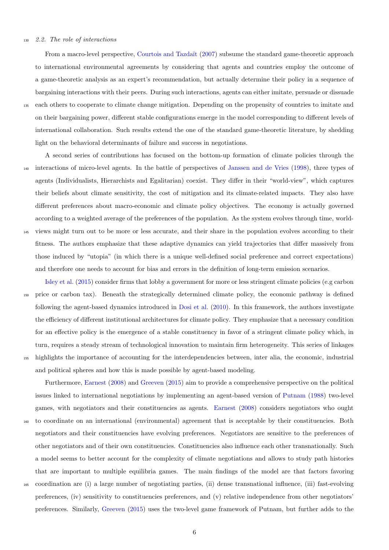#### <sup>130</sup> 2.2. The role of interactions

From a macro-level perspective, Courtois and Tazdaït [\(2007\)](#page-23-2) subsume the standard game-theoretic approach to international environmental agreements by considering that agents and countries employ the outcome of a game-theoretic analysis as an expert's recommendation, but actually determine their policy in a sequence of bargaining interactions with their peers. During such interactions, agents can either imitate, persuade or dissuade <sup>135</sup> each others to cooperate to climate change mitigation. Depending on the propensity of countries to imitate and on their bargaining power, different stable configurations emerge in the model corresponding to different levels of international collaboration. Such results extend the one of the standard game-theoretic literature, by shedding light on the behavioral determinants of failure and success in negotiations.

A second series of contributions has focused on the bottom-up formation of climate policies through the <sup>140</sup> interactions of micro-level agents. In the battle of perspectives of [Janssen and de Vries](#page-26-5) [\(1998\)](#page-26-5), three types of agents (Individualists, Hierarchists and Egalitarian) coexist. They differ in their "world-view", which captures their beliefs about climate sensitivity, the cost of mitigation and its climate-related impacts. They also have different preferences about macro-economic and climate policy objectives. The economy is actually governed according to a weighted average of the preferences of the population. As the system evolves through time, world-<sup>145</sup> views might turn out to be more or less accurate, and their share in the population evolves according to their fitness. The authors emphasize that these adaptive dynamics can yield trajectories that differ massively from those induced by "utopia" (in which there is a unique well-defined social preference and correct expectations) and therefore one needs to account for bias and errors in the definition of long-term emission scenarios.

[Isley et al.](#page-25-3) [\(2015\)](#page-25-3) consider firms that lobby a government for more or less stringent climate policies (e.g carbon <sup>150</sup> price or carbon tax). Beneath the strategically determined climate policy, the economic pathway is defined following the agent-based dynamics introduced in [Dosi et al.](#page-24-5) [\(2010\)](#page-24-5). In this framework, the authors investigate the efficiency of different institutional architectures for climate policy. They emphasize that a necessary condition for an effective policy is the emergence of a stable constituency in favor of a stringent climate policy which, in turn, requires a steady stream of technological innovation to maintain firm heterogeneity. This series of linkages <sup>155</sup> highlights the importance of accounting for the interdependencies between, inter alia, the economic, industrial and political spheres and how this is made possible by agent-based modeling.

Furthermore, [Earnest](#page-24-6) [\(2008\)](#page-24-6) and [Greeven](#page-25-4) [\(2015\)](#page-25-4) aim to provide a comprehensive perspective on the political issues linked to international negotiations by implementing an agent-based version of [Putnam](#page-28-5) [\(1988\)](#page-28-5) two-level games, with negotiators and their constituencies as agents. [Earnest](#page-24-6) [\(2008\)](#page-24-6) considers negotiators who ought <sup>160</sup> to coordinate on an international (environmental) agreement that is acceptable by their constituencies. Both negotiators and their constituencies have evolving preferences. Negotiators are sensitive to the preferences of other negotiators and of their own constituencies. Constituencies also influence each other transnationally. Such a model seems to better account for the complexity of climate negotiations and allows to study path histories that are important to multiple equilibria games. The main findings of the model are that factors favoring <sup>165</sup> coordination are (i) a large number of negotiating parties, (ii) dense transnational influence, (iii) fast-evolving preferences, (iv) sensitivity to constituencies preferences, and (v) relative independence from other negotiators' preferences. Similarly, [Greeven](#page-25-4) [\(2015\)](#page-25-4) uses the two-level game framework of Putnam, but further adds to the

6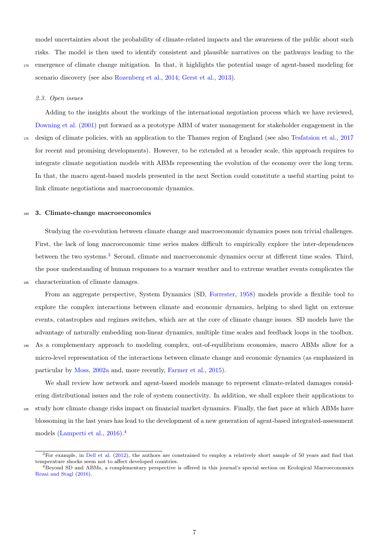model uncertainties about the probability of climate-related impacts and the awareness of the public about such risks. The model is then used to identify consistent and plausible narratives on the pathways leading to the <sup>170</sup> emergence of climate change mitigation. In that, it highlights the potential usage of agent-based modeling for scenario discovery (see also [Rozenberg et al.,](#page-28-6) [2014;](#page-28-6) [Gerst et al.,](#page-24-7) [2013\)](#page-24-7).

#### 2.3. Open issues

Adding to the insights about the workings of the international negotiation process which we have reviewed, [Downing et al.](#page-24-8) [\(2001\)](#page-24-8) put forward as a prototype ABM of water management for stakeholder engagement in the <sup>175</sup> design of climate policies, with an application to the Thames region of England (see also [Tesfatsion et al.,](#page-29-3) [2017](#page-29-3) for recent and promising developments). However, to be extended at a broader scale, this approach requires to integrate climate negotiation models with ABMs representing the evolution of the economy over the long term. In that, the macro agent-based models presented in the next Section could constitute a useful starting point to link climate negotiations and macroeconomic dynamics.

## <span id="page-6-0"></span><sup>180</sup> 3. Climate-change macroeconomics

Studying the co-evolution between climate change and macroeconomic dynamics poses non trivial challenges. First, the lack of long macroeconomic time series makes difficult to empirically explore the inter-dependences between the two systems.[3](#page-0-0) Second, climate and macroeconomic dynamics occur at different time scales. Third, the poor understanding of human responses to a warmer weather and to extreme weather events complicates the <sup>185</sup> characterization of climate damages.

From an aggregate perspective, System Dynamics (SD, [Forrester,](#page-24-9) [1958\)](#page-24-9) models provide a flexible tool to explore the complex interactions between climate and economic dynamics, helping to shed light on extreme events, catastrophes and regimes switches, which are at the core of climate change issues. SD models have the advantage of naturally embedding non-linear dynamics, multiple time scales and feedback loops in the toolbox. <sup>190</sup> As a complementary approach to modeling complex, out-of-equilibrium economies, macro ABMs allow for a micro-level representation of the interactions between climate change and economic dynamics (as emphasized in particular by [Moss,](#page-27-3) [2002a](#page-27-3) and, more recently, [Farmer et al.,](#page-24-0) [2015\)](#page-24-0).

We shall review how network and agent-based models manage to represent climate-related damages considering distributional issues and the role of system connectivity. In addition, we shall explore their applications to <sup>195</sup> study how climate change risks impact on financial market dynamics. Finally, the fast pace at which ABMs have blossoming in the last years has lead to the development of a new generation of agent-based integrated-assessment models [\(Lamperti et al.,](#page-26-6) [2016\)](#page-26-6).[4](#page-0-0)

<sup>3</sup>For example, in [Dell et al.](#page-23-3) [\(2012\)](#page-23-3), the authors are constrained to employ a relatively short sample of 50 years and find that temperature shocks seem not to affect developed countries.

 $4B$ eyond SD and ABMs, a complementary perspective is offered in this journal's special section on Ecological Macroeconomics [Rezai and Stagl](#page-28-7) [\(2016\)](#page-28-7).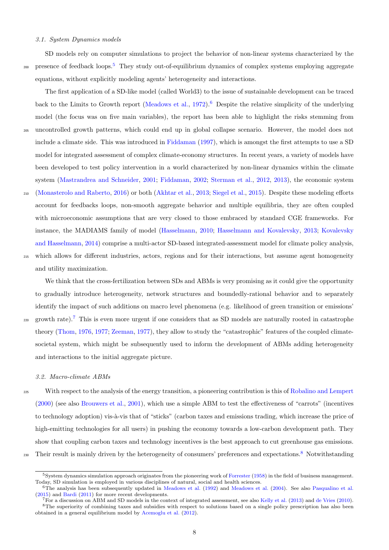## 3.1. System Dynamics models

SD models rely on computer simulations to project the behavior of non-linear systems characterized by the <sup>200</sup> presence of feedback loops.<sup>[5](#page-0-0)</sup> They study out-of-equilibrium dynamics of complex systems employing aggregate equations, without explicitly modeling agents' heterogeneity and interactions.

The first application of a SD-like model (called World3) to the issue of sustainable development can be traced back to the Limits to Growth report [\(Meadows et al.,](#page-27-10) [1972\)](#page-27-10).<sup>[6](#page-0-0)</sup> Despite the relative simplicity of the underlying model (the focus was on five main variables), the report has been able to highlight the risks stemming from <sup>205</sup> uncontrolled growth patterns, which could end up in global collapse scenario. However, the model does not include a climate side. This was introduced in [Fiddaman](#page-24-10) [\(1997\)](#page-24-10), which is amongst the first attempts to use a SD model for integrated assessment of complex climate-economy structures. In recent years, a variety of models have been developed to test policy intervention in a world characterized by non-linear dynamics within the climate system [\(Mastrandrea and Schneider,](#page-27-11) [2001;](#page-27-11) [Fiddaman,](#page-24-11) [2002;](#page-24-11) [Sterman et al.,](#page-28-8) [2012,](#page-28-8) [2013\)](#page-28-9), the economic system <sup>210</sup> [\(Monasterolo and Raberto,](#page-27-12) [2016\)](#page-27-12) or both [\(Akhtar et al.,](#page-22-6) [2013;](#page-22-6) [Siegel et al.,](#page-28-10) [2015\)](#page-28-10). Despite these modeling efforts account for feedbacks loops, non-smooth aggregate behavior and multiple equilibria, they are often coupled with microeconomic assumptions that are very closed to those embraced by standard CGE frameworks. For [i](#page-26-7)nstance, the MADIAMS family of model [\(Hasselmann,](#page-25-5) [2010;](#page-25-5) [Hasselmann and Kovalevsky,](#page-25-6) [2013;](#page-25-6) [Kovalevsky](#page-26-7) [and Hasselmann,](#page-26-7) [2014\)](#page-26-7) comprise a multi-actor SD-based integrated-assessment model for climate policy analysis, <sup>215</sup> which allows for different industries, actors, regions and for their interactions, but assume agent homogeneity

We think that the cross-fertilization between SDs and ABMs is very promising as it could give the opportunity to gradually introduce heterogeneity, network structures and boundedly-rational behavior and to separately identify the impact of such additions on macro level phenomena (e.g. likelihood of green transition or emissions' 220 growth rate).<sup>[7](#page-0-0)</sup> This is even more urgent if one considers that as SD models are naturally rooted in catastrophe theory [\(Thom,](#page-29-4) [1976,](#page-29-4) [1977;](#page-29-5) [Zeeman,](#page-29-6) [1977\)](#page-29-6), they allow to study the "catastrophic" features of the coupled climatesocietal system, which might be subsequently used to inform the development of ABMs adding heterogeneity

#### 3.2. Macro-climate ABMs

and interactions to the initial aggregate picture.

and utility maximization.

<sup>225</sup> With respect to the analysis of the energy transition, a pioneering contribution is this of [Robalino and Lempert](#page-28-11) [\(2000\)](#page-28-11) (see also [Brouwers et al.,](#page-23-4) [2001\)](#page-23-4), which use a simple ABM to test the effectiveness of "carrots" (incentives to technology adoption) vis-à-vis that of "sticks" (carbon taxes and emissions trading, which increase the price of high-emitting technologies for all users) in pushing the economy towards a low-carbon development path. They show that coupling carbon taxes and technology incentives is the best approach to cut greenhouse gas emissions. <sub>230</sub> Their result is mainly driven by the heterogeneity of consumers' preferences and expectations.<sup>[8](#page-0-0)</sup> Notwithstanding

<sup>5</sup>System dynamics simulation approach originates from the pioneering work of [Forrester](#page-24-9) [\(1958\)](#page-24-9) in the field of business management. Today, SD simulation is employed in various disciplines of natural, social and health sciences.

<sup>6</sup>The analysis has been subsequently updated in [Meadows et al.](#page-27-13) [\(1992\)](#page-27-13) and [Meadows et al.](#page-27-14) [\(2004\)](#page-27-14). See also [Pasqualino et al.](#page-27-15) [\(2015\)](#page-27-15) and [Bardi](#page-22-7) [\(2011\)](#page-22-7) for more recent developments.

<sup>7</sup>For a discussion on ABM and SD models in the context of integrated assessment, see also [Kelly et al.](#page-26-0) [\(2013\)](#page-26-0) and [de Vries](#page-23-5) [\(2010\)](#page-23-5). <sup>8</sup>The superiority of combining taxes and subsidies with respect to solutions based on a single policy prescription has also been obtained in a general equilibrium model by [Acemoglu et al.](#page-22-8) [\(2012\)](#page-22-8).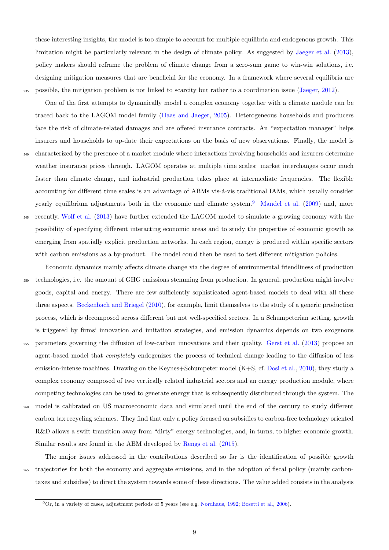these interesting insights, the model is too simple to account for multiple equilibria and endogenous growth. This limitation might be particularly relevant in the design of climate policy. As suggested by [Jaeger et al.](#page-26-8) [\(2013\)](#page-26-8), policy makers should reframe the problem of climate change from a zero-sum game to win-win solutions, i.e. designing mitigation measures that are beneficial for the economy. In a framework where several equilibria are <sup>235</sup> possible, the mitigation problem is not linked to scarcity but rather to a coordination issue [\(Jaeger,](#page-26-9) [2012\)](#page-26-9).

One of the first attempts to dynamically model a complex economy together with a climate module can be traced back to the LAGOM model family [\(Haas and Jaeger,](#page-25-7) [2005\)](#page-25-7). Heterogeneous households and producers face the risk of climate-related damages and are offered insurance contracts. An "expectation manager" helps insurers and households to up-date their expectations on the basis of new observations. Finally, the model is <sup>240</sup> characterized by the presence of a market module where interactions involving households and insurers determine weather insurance prices through. LAGOM operates at multiple time scales: market interchanges occur much faster than climate change, and industrial production takes place at intermediate frequencies. The flexible accounting for different time scales is an advantage of ABMs vis- $\acute{a}$ -vis traditional IAMs, which usually consider yearly equilibrium adjustments both in the economic and climate system.[9](#page-0-0) [Mandel et al.](#page-27-16) [\(2009\)](#page-27-16) and, more <sup>245</sup> recently, [Wolf et al.](#page-29-7) [\(2013\)](#page-29-7) have further extended the LAGOM model to simulate a growing economy with the possibility of specifying different interacting economic areas and to study the properties of economic growth as emerging from spatially explicit production networks. In each region, energy is produced within specific sectors with carbon emissions as a by-product. The model could then be used to test different mitigation policies.

Economic dynamics mainly affects climate change via the degree of environmental friendliness of production <sup>250</sup> technologies, i.e. the amount of GHG emissions stemming from production. In general, production might involve goods, capital and energy. There are few sufficiently sophisticated agent-based models to deal with all these three aspects. [Beckenbach and Briegel](#page-22-9) [\(2010\)](#page-22-9), for example, limit themselves to the study of a generic production process, which is decomposed across different but not well-specified sectors. In a Schumpeterian setting, growth is triggered by firms' innovation and imitation strategies, and emission dynamics depends on two exogenous <sup>255</sup> parameters governing the diffusion of low-carbon innovations and their quality. [Gerst et al.](#page-24-7) [\(2013\)](#page-24-7) propose an agent-based model that completely endogenizes the process of technical change leading to the diffusion of less emission-intense machines. Drawing on the Keynes+Schumpeter model (K+S, cf. [Dosi et al.,](#page-24-5) [2010\)](#page-24-5), they study a complex economy composed of two vertically related industrial sectors and an energy production module, where competing technologies can be used to generate energy that is subsequently distributed through the system. The <sup>260</sup> model is calibrated on US macroeconomic data and simulated until the end of the century to study different carbon tax recycling schemes. They find that only a policy focused on subsidies to carbon-free technology oriented R&D allows a swift transition away from "dirty" energy technologies, and, in turns, to higher economic growth. Similar results are found in the ABM developed by [Rengs et al.](#page-28-12) [\(2015\)](#page-28-12).

The major issues addressed in the contributions described so far is the identification of possible growth <sup>265</sup> trajectories for both the economy and aggregate emissions, and in the adoption of fiscal policy (mainly carbontaxes and subsidies) to direct the system towards some of these directions. The value added consists in the analysis

<sup>9</sup>Or, in a variety of cases, adjustment periods of 5 years (see e.g. [Nordhaus,](#page-27-5) [1992;](#page-27-5) [Bosetti et al.,](#page-23-6) [2006\)](#page-23-6).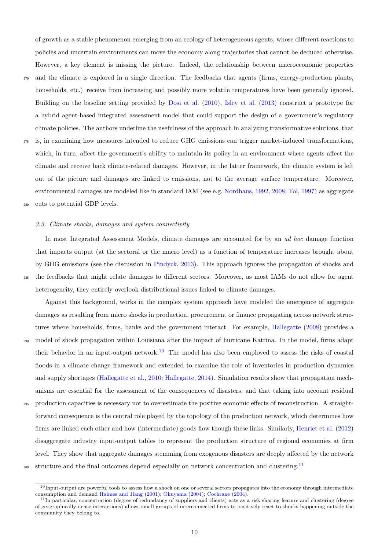of growth as a stable phenomenon emerging from an ecology of heterogeneous agents, whose different reactions to policies and uncertain environments can move the economy along trajectories that cannot be deduced otherwise. However, a key element is missing the picture. Indeed, the relationship between macroeconomic properties <sup>270</sup> and the climate is explored in a single direction. The feedbacks that agents (firms, energy-production plants, households, etc.) receive from increasing and possibly more volatile temperatures have been generally ignored. Building on the baseline setting provided by [Dosi et al.](#page-24-5) [\(2010\)](#page-24-5), [Isley et al.](#page-25-8) [\(2013\)](#page-25-8) construct a prototype for a hybrid agent-based integrated assessment model that could support the design of a government's regulatory climate policies. The authors underline the usefulness of the approach in analyzing transformative solutions, that <sup>275</sup> is, in examining how measures intended to reduce GHG emissions can trigger market-induced transformations, which, in turn, affect the government's ability to maintain its policy in an environment where agents affect the climate and receive back climate-related damages. However, in the latter framework, the climate system is left out of the picture and damages are linked to emissions, not to the average surface temperature. Moreover, environmental damages are modeled like in standard IAM (see e.g. [Nordhaus,](#page-27-5) [1992,](#page-27-5) [2008;](#page-27-17) [Tol,](#page-29-8) [1997\)](#page-29-8) as aggregate <sup>280</sup> cuts to potential GDP levels.

## 3.3. Climate shocks, damages and system connectivity

In most Integrated Assessment Models, climate damages are accounted for by an ad hoc damage function that impacts output (at the sectoral or the macro level) as a function of temperature increases brought about by GHG emissions (see the discussion in [Pindyck,](#page-27-0) [2013\)](#page-27-0). This approach ignores the propagation of shocks and <sup>285</sup> the feedbacks that might relate damages to different sectors. Moreover, as most IAMs do not allow for agent heterogeneity, they entirely overlook distributional issues linked to climate damages.

300

Against this background, works in the complex system approach have modeled the emergence of aggregate damages as resulting from micro shocks in production, procurement or finance propagating across network structures where households, firms, banks and the government interact. For example, [Hallegatte](#page-25-9) [\(2008\)](#page-25-9) provides a <sup>290</sup> model of shock propagation within Louisiana after the impact of hurricane Katrina. In the model, firms adapt their behavior in an input-output network.<sup>[10](#page-0-0)</sup> The model has also been employed to assess the risks of coastal floods in a climate change framework and extended to examine the role of inventories in production dynamics and supply shortages [\(Hallegatte et al.,](#page-25-10) [2010;](#page-25-10) [Hallegatte,](#page-25-11) [2014\)](#page-25-11). Simulation results show that propagation mechanisms are essential for the assessment of the consequences of disasters, and that taking into account residual <sup>295</sup> production capacities is necessary not to overestimate the positive economic effects of reconstruction. A straightforward consequence is the central role played by the topology of the production network, which determines how firms are linked each other and how (intermediate) goods flow though these links. Similarly, [Henriet et al.](#page-25-12) [\(2012\)](#page-25-12) disaggregate industry input-output tables to represent the production structure of regional economies at firm level. They show that aggregate damages stemming from exogenous disasters are deeply affected by the network structure and the final outcomes depend especially on network concentration and clustering.<sup>[11](#page-0-0)</sup>

<sup>&</sup>lt;sup>10</sup>Input-output are powerful tools to assess how a shock on one or several sectors propagates into the economy through intermediate consumption and demand [Haimes and Jiang](#page-25-13) [\(2001\)](#page-25-13); [Okuyama](#page-27-18) [\(2004\)](#page-27-18); [Cochrane](#page-23-7) [\(2004\)](#page-23-7).

 $11$ In particular, concentration (degree of redundancy of suppliers and clients) acts as a risk sharing feature and clustering (degree of geographically dense interactions) allows small groups of interconnected firms to positively react to shocks happening outside the community they belong to.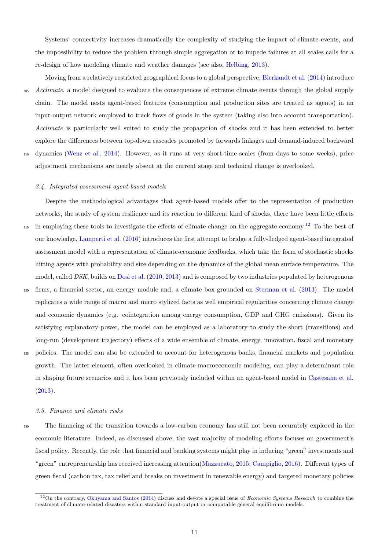Systems' connectivity increases dramatically the complexity of studying the impact of climate events, and the impossibility to reduce the problem through simple aggregation or to impede failures at all scales calls for a re-design of how modeling climate and weather damages (see also, [Helbing,](#page-25-14) [2013\)](#page-25-14).

Moving from a relatively restricted geographical focus to a global perspective, [Bierkandt et al.](#page-22-10) [\(2014\)](#page-22-10) introduce 305 Acclimate, a model designed to evaluate the consequences of extreme climate events through the global supply chain. The model nests agent-based features (consumption and production sites are treated as agents) in an input-output network employed to track flows of goods in the system (taking also into account transportation). Acclimate is particularly well suited to study the propagation of shocks and it has been extended to better explore the differences between top-down cascades promoted by forwards linkages and demand-induced backward <sup>310</sup> dynamics [\(Wenz et al.,](#page-29-9) [2014\)](#page-29-9). However, as it runs at very short-time scales (from days to some weeks), price adjustment mechanisms are nearly absent at the current stage and technical change is overlooked.

#### 3.4. Integrated assessment agent-based models

Despite the methodological advantages that agent-based models offer to the representation of production networks, the study of system resilience and its reaction to different kind of shocks, there have been little efforts  $_{315}$  in employing these tools to investigate the effects of climate change on the aggregate economy.<sup>[12](#page-0-0)</sup> To the best of our knowledge, [Lamperti et al.](#page-26-6) [\(2016\)](#page-26-6) introduces the first attempt to bridge a fully-fledged agent-based integrated assessment model with a representation of climate-economic feedbacks, which take the form of stochastic shocks hitting agents with probability and size depending on the dynamics of the global mean surface temperature. The model, called DSK, builds on [Dosi et al.](#page-24-5) [\(2010,](#page-24-5) [2013\)](#page-24-12) and is composed by two industries populated by heterogenous <sup>320</sup> firms, a financial sector, an energy module and, a climate box grounded on [Sterman et al.](#page-28-9) [\(2013\)](#page-28-9). The model replicates a wide range of macro and micro stylized facts as well empirical regularities concerning climate change and economic dynamics (e.g. cointegration among energy consumption, GDP and GHG emissions). Given its satisfying explanatory power, the model can be employed as a laboratory to study the short (transitions) and long-run (development trajectory) effects of a wide ensemble of climate, energy, innovation, fiscal and monetary <sup>325</sup> policies. The model can also be extended to account for heterogenous banks, financial markets and population growth. The latter element, often overlooked in climate-macroeconomic modeling, can play a determinant role in shaping future scenarios and it has been previously included within an agent-based model in [Castesana et al.](#page-23-8) [\(2013\)](#page-23-8).

#### 3.5. Finance and climate risks

<sup>330</sup> The financing of the transition towards a low-carbon economy has still not been accurately explored in the economic literature. Indeed, as discussed above, the vast majority of modeling efforts focuses on government's fiscal policy. Recently, the role that financial and banking systems might play in inducing "green" investments and "green" entrepreneurship has received increasing attention[\(Mazzucato,](#page-27-19) [2015;](#page-27-19) [Campiglio,](#page-23-9) [2016\)](#page-23-9). Different types of green fiscal (carbon tax, tax relief and breaks on investment in renewable energy) and targeted monetary policies

 $12$ On the contrary, [Okuyama and Santos](#page-27-20) [\(2014\)](#page-27-20) discuss and devote a special issue of *Economic Systems Research* to combine the treatment of climate-related disasters within standard input-output or computable general equilibrium models.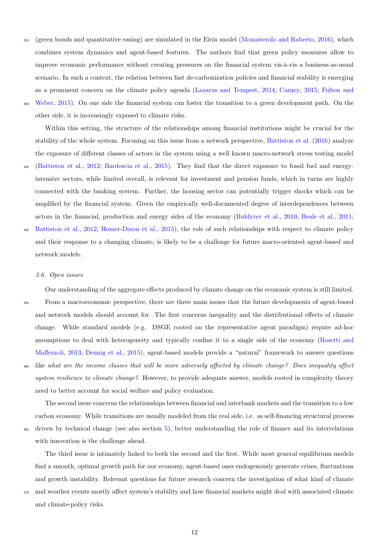- <sup>335</sup> (green bonds and quantitative easing) are simulated in the Eirin model [\(Monasterolo and Raberto,](#page-27-12) [2016\)](#page-27-12), which combines system dynamics and agent-based features. The authors find that green policy measures allow to improve economic performance without creating pressures on the financial system vis- $\grave{a}$ -vis a business-as-usual scenario. In such a context, the relation between fast de-carbonization policies and financial stability is emerging [a](#page-24-13)s a prominent concern on the climate policy agenda [\(Lazarus and Tempest,](#page-26-10) [2014;](#page-26-10) [Carney,](#page-23-10) [2015;](#page-23-10) [Fulton and](#page-24-13) <sup>340</sup> [Weber,](#page-24-13) [2015\)](#page-24-13). On one side the financial system can foster the transition to a green development path. On the other side, it is increasingly exposed to climate risks.
- 

Within this setting, the structure of the relationships among financial institutions might be crucial for the stability of the whole system. Focusing on this issue from a network perspective, [Battiston et al.](#page-22-11) [\(2016\)](#page-22-11) analyze the exposure of different classes of actors in the system using a well known macro-network stress testing model <sup>345</sup> [\(Battiston et al.,](#page-22-12) [2012;](#page-22-12) [Bardoscia et al.,](#page-22-13) [2015\)](#page-22-13). They find that the direct exposure to fossil fuel and energyintensive sectors, while limited overall, is relevant for investment and pension funds, which in turns are highly connected with the banking system. Further, the housing sector can potentially trigger shocks which can be amplified by the financial system. Given the empirically well-documented degree of interdependences between actors in the financial, production and energy sides of the economy [\(Buldyrev et al.,](#page-23-11) [2010;](#page-23-11) [Beale et al.,](#page-22-14) [2011;](#page-22-14) <sup>350</sup> [Battiston et al.,](#page-22-15) [2012;](#page-22-15) [Homer-Dixon et al.,](#page-25-15) [2015\)](#page-25-15), the role of such relationships with respect to climate policy and their response to a changing climate, is likely to be a challenge for future macro-oriented agent-based and network models.

## 3.6. Open issues

Our understanding of the aggregate effects produced by climate change on the economic system is still limited. <sup>355</sup> From a macroeconomic perspective, there are three main issues that the future developments of agent-based and network models should account for. The first concerns inequality and the distributional effects of climate change. While standard models (e.g. DSGE rooted on the representative agent paradigm) require ad-hoc [a](#page-23-12)ssumptions to deal with heterogeneity and typically confine it to a single side of the economy [\(Bosetti and](#page-23-12) [Maffezzoli,](#page-23-12) [2013;](#page-23-12) [Dennig et al.,](#page-23-13) [2015\)](#page-23-13), agent-based models provide a "natural" framework to answer questions <sup>360</sup> like what are the income classes that will be more adversely affected by climate change? Does inequality affect system resilience to climate change?. However, to provide adequate answer, models rooted in complexity theory need to better account for social welfare and policy evaluation.

The second issue concerns the relationships between financial and interbank markets and the transition to a low carbon economy. While transitions are usually modeled from the real side, i.e. as self-financing structural process <sup>365</sup> driven by technical change (see also section [5\)](#page-15-0), better understanding the role of finance and its interrelations with innovation is the challenge ahead.

The third issue is intimately linked to both the second and the first. While most general equilibrium models find a smooth, optimal growth path for our economy, agent-based ones endogenously generate crises, fluctuations and growth instability. Relevant questions for future research concern the investigation of what kind of climate <sup>370</sup> and weather events mostly affect system's stability and how financial markets might deal with associated climate and climate-policy risks.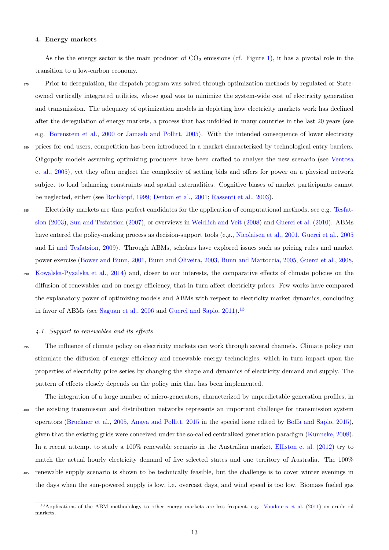## <span id="page-12-0"></span>4. Energy markets

As the the energy sector is the main producer of  $CO<sub>2</sub>$  emissions (cf. Figure [1\)](#page-3-1), it has a pivotal role in the transition to a low-carbon economy.

<sup>375</sup> Prior to deregulation, the dispatch program was solved through optimization methods by regulated or Stateowned vertically integrated utilities, whose goal was to minimize the system-wide cost of electricity generation and transmission. The adequacy of optimization models in depicting how electricity markets work has declined after the deregulation of energy markets, a process that has unfolded in many countries in the last 20 years (see e.g. [Borenstein et al.,](#page-22-16) [2000](#page-22-16) or [Jamasb and Pollitt,](#page-26-11) [2005\)](#page-26-11). With the intended consequence of lower electricity <sup>380</sup> prices for end users, competition has been introduced in a market characterized by technological entry barriers. [O](#page-29-10)ligopoly models assuming optimizing producers have been crafted to analyse the new scenario (see [Ventosa](#page-29-10) [et al.,](#page-29-10) [2005\)](#page-29-10), yet they often neglect the complexity of setting bids and offers for power on a physical network subject to load balancing constraints and spatial externalities. Cognitive biases of market participants cannot be neglected, either (see [Rothkopf,](#page-28-13) [1999;](#page-28-13) [Denton et al.,](#page-23-14) [2001;](#page-23-14) [Rassenti et al.,](#page-28-14) [2003\)](#page-28-14).

- <sup>385</sup> Electricity markets are thus perfect candidates for the application of computational methods, see e.g. [Tesfat](#page-29-11)[sion](#page-29-11) [\(2003\)](#page-29-11), [Sun and Tesfatsion](#page-29-12) [\(2007\)](#page-29-12), or overviews in [Weidlich and Veit](#page-29-13) [\(2008\)](#page-29-13) and [Guerci et al.](#page-25-16) [\(2010\)](#page-25-16). ABMs have entered the policy-making process as decision-support tools (e.g., [Nicolaisen et al.,](#page-27-21) [2001,](#page-27-21) [Guerci et al.,](#page-25-17) [2005](#page-25-17) and [Li and Tesfatsion,](#page-27-22) [2009\)](#page-27-22). Through ABMs, scholars have explored issues such as pricing rules and market power exercise [\(Bower and Bunn,](#page-23-15) [2001,](#page-23-15) [Bunn and Oliveira,](#page-23-16) [2003,](#page-23-16) [Bunn and Martoccia,](#page-23-17) [2005,](#page-23-17) [Guerci et al.,](#page-25-18) [2008,](#page-25-18)
- <sup>390</sup> [Kowalska-Pyzalska et al.,](#page-26-12) [2014\)](#page-26-12) and, closer to our interests, the comparative effects of climate policies on the diffusion of renewables and on energy efficiency, that in turn affect electricity prices. Few works have compared the explanatory power of optimizing models and ABMs with respect to electricity market dynamics, concluding in favor of ABMs (see [Saguan et al.,](#page-28-15) [2006](#page-28-15) and [Guerci and Sapio,](#page-25-19) [2011\)](#page-25-19).<sup>[13](#page-0-0)</sup>

# 4.1. Support to renewables and its effects

<sup>395</sup> The influence of climate policy on electricity markets can work through several channels. Climate policy can stimulate the diffusion of energy efficiency and renewable energy technologies, which in turn impact upon the properties of electricity price series by changing the shape and dynamics of electricity demand and supply. The pattern of effects closely depends on the policy mix that has been implemented.

The integration of a large number of micro-generators, characterized by unpredictable generation profiles, in <sup>400</sup> the existing transmission and distribution networks represents an important challenge for transmission system operators [\(Bruckner et al.,](#page-23-18) [2005,](#page-23-18) [Anaya and Pollitt,](#page-22-17) [2015](#page-22-17) in the special issue edited by [Boffa and Sapio,](#page-22-18) [2015\)](#page-22-18), given that the existing grids were conceived under the so-called centralized generation paradigm [\(Kunneke,](#page-26-13) [2008\)](#page-26-13). In a recent attempt to study a 100% renewable scenario in the Australian market, [Elliston et al.](#page-24-14) [\(2012\)](#page-24-14) try to match the actual hourly electricity demand of five selected states and one territory of Australia. The 100% <sup>405</sup> renewable supply scenario is shown to be technically feasible, but the challenge is to cover winter evenings in the days when the sun-powered supply is low, i.e. overcast days, and wind speed is too low. Biomass fueled gas

<sup>&</sup>lt;sup>13</sup>Applications of the ABM methodology to other energy markets are less frequent, e.g. [Voudouris et al.](#page-29-14) [\(2011\)](#page-29-14) on crude oil markets.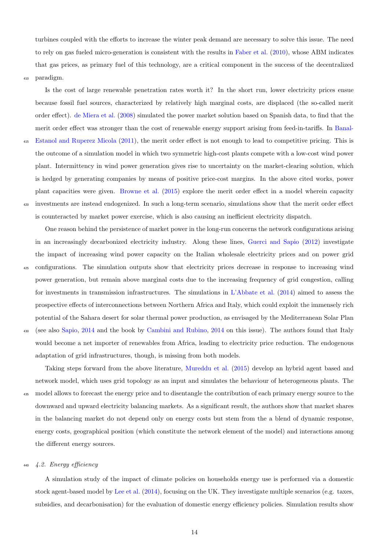turbines coupled with the efforts to increase the winter peak demand are necessary to solve this issue. The need to rely on gas fueled micro-generation is consistent with the results in [Faber et al.](#page-24-15) [\(2010\)](#page-24-15), whose ABM indicates that gas prices, as primary fuel of this technology, are a critical component in the success of the decentralized <sup>410</sup> paradigm.

Is the cost of large renewable penetration rates worth it? In the short run, lower electricity prices ensue because fossil fuel sources, characterized by relatively high marginal costs, are displaced (the so-called merit order effect). [de Miera et al.](#page-23-19) [\(2008\)](#page-23-19) simulated the power market solution based on Spanish data, to find that the [m](#page-22-19)erit order effect was stronger than the cost of renewable energy support arising from feed-in-tariffs. In [Banal-](#page-22-19)<sup>415</sup> [Estanol and Ruperez Micola](#page-22-19) [\(2011\)](#page-22-19), the merit order effect is not enough to lead to competitive pricing. This is the outcome of a simulation model in which two symmetric high-cost plants compete with a low-cost wind power plant. Intermittency in wind power generation gives rise to uncertainty on the market-clearing solution, which is hedged by generating companies by means of positive price-cost margins. In the above cited works, power plant capacities were given. [Browne et al.](#page-23-20) [\(2015\)](#page-23-20) explore the merit order effect in a model wherein capacity <sup>420</sup> investments are instead endogenized. In such a long-term scenario, simulations show that the merit order effect

One reason behind the persistence of market power in the long-run concerns the network configurations arising in an increasingly decarbonized electricity industry. Along these lines, [Guerci and Sapio](#page-25-20) [\(2012\)](#page-25-20) investigate the impact of increasing wind power capacity on the Italian wholesale electricity prices and on power grid <sup>425</sup> configurations. The simulation outputs show that electricity prices decrease in response to increasing wind power generation, but remain above marginal costs due to the increasing frequency of grid congestion, calling for investments in transmission infrastructures. The simulations in [L'Abbate et al.](#page-26-14) [\(2014\)](#page-26-14) aimed to assess the prospective effects of interconnections between Northern Africa and Italy, which could exploit the immensely rich potential of the Sahara desert for solar thermal power production, as envisaged by the Mediterranean Solar Plan <sup>430</sup> (see also [Sapio,](#page-28-16) [2014](#page-28-16) and the book by [Cambini and Rubino,](#page-23-21) [2014](#page-23-21) on this issue). The authors found that Italy would become a net importer of renewables from Africa, leading to electricity price reduction. The endogenous adaptation of grid infrastructures, though, is missing from both models.

is counteracted by market power exercise, which is also causing an inefficient electricity dispatch.

Taking steps forward from the above literature, [Mureddu et al.](#page-27-23) [\(2015\)](#page-27-23) develop an hybrid agent based and network model, which uses grid topology as an input and simulates the behaviour of heterogeneous plants. The <sup>435</sup> model allows to forecast the energy price and to disentangle the contribution of each primary energy source to the downward and upward electricity balancing markets. As a significant result, the authors show that market shares in the balancing market do not depend only on energy costs but stem from the a blend of dynamic response, energy costs, geographical position (which constitute the network element of the model) and interactions among the different energy sources.

# 4.2. Energy efficiency

A simulation study of the impact of climate policies on households energy use is performed via a domestic stock agent-based model by [Lee et al.](#page-26-15) [\(2014\)](#page-26-15), focusing on the UK. They investigate multiple scenarios (e.g. taxes, subsidies, and decarbonisation) for the evaluation of domestic energy efficiency policies. Simulation results show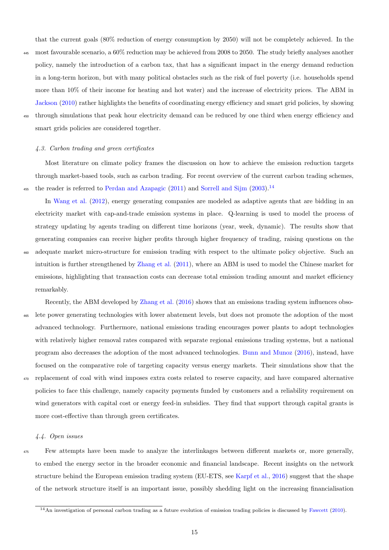that the current goals (80% reduction of energy consumption by 2050) will not be completely achieved. In the <sup>445</sup> most favourable scenario, a 60% reduction may be achieved from 2008 to 2050. The study briefly analyses another policy, namely the introduction of a carbon tax, that has a significant impact in the energy demand reduction in a long-term horizon, but with many political obstacles such as the risk of fuel poverty (i.e. households spend more than 10% of their income for heating and hot water) and the increase of electricity prices. The ABM in [Jackson](#page-25-21) [\(2010\)](#page-25-21) rather highlights the benefits of coordinating energy efficiency and smart grid policies, by showing <sup>450</sup> through simulations that peak hour electricity demand can be reduced by one third when energy efficiency and smart grids policies are considered together.

455

# 4.3. Carbon trading and green certificates

Most literature on climate policy frames the discussion on how to achieve the emission reduction targets through market-based tools, such as carbon trading. For recent overview of the current carbon trading schemes, the reader is referred to [Perdan and Azapagic](#page-27-24) [\(2011\)](#page-27-24) and [Sorrell and Sijm](#page-28-17) [\(2003\)](#page-28-17).<sup>[14](#page-0-0)</sup>

In [Wang et al.](#page-29-15) [\(2012\)](#page-29-15), energy generating companies are modeled as adaptive agents that are bidding in an electricity market with cap-and-trade emission systems in place. Q-learning is used to model the process of strategy updating by agents trading on different time horizons (year, week, dynamic). The results show that generating companies can receive higher profits through higher frequency of trading, raising questions on the <sup>460</sup> adequate market micro-structure for emission trading with respect to the ultimate policy objective. Such an intuition is further strengthened by [Zhang et al.](#page-29-16) [\(2011\)](#page-29-16), where an ABM is used to model the Chinese market for emissions, highlighting that transaction costs can decrease total emission trading amount and market efficiency remarkably.

Recently, the ABM developed by [Zhang et al.](#page-29-17) [\(2016\)](#page-29-17) shows that an emissions trading system influences obso-<sup>465</sup> lete power generating technologies with lower abatement levels, but does not promote the adoption of the most advanced technology. Furthermore, national emissions trading encourages power plants to adopt technologies with relatively higher removal rates compared with separate regional emissions trading systems, but a national program also decreases the adoption of the most advanced technologies. [Bunn and Munoz](#page-23-22) [\(2016\)](#page-23-22), instead, have focused on the comparative role of targeting capacity versus energy markets. Their simulations show that the <sup>470</sup> replacement of coal with wind imposes extra costs related to reserve capacity, and have compared alternative policies to face this challenge, namely capacity payments funded by customers and a reliability requirement on wind generators with capital cost or energy feed-in subsidies. They find that support through capital grants is more cost-effective than through green certificates.

# 4.4. Open issues

<sup>475</sup> Few attempts have been made to analyze the interlinkages between different markets or, more generally, to embed the energy sector in the broader economic and financial landscape. Recent insights on the network structure behind the European emission trading system (EU-ETS, see [Karpf et al.,](#page-26-16) [2016\)](#page-26-16) suggest that the shape of the network structure itself is an important issue, possibly shedding light on the increasing financialisation

 $14$ An investigation of personal carbon trading as a future evolution of emission trading policies is discussed by [Fawcett](#page-24-16) [\(2010\)](#page-24-16).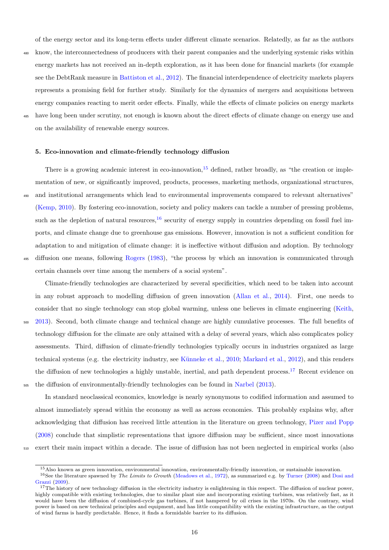of the energy sector and its long-term effects under different climate scenarios. Relatedly, as far as the authors

know, the interconnectedness of producers with their parent companies and the underlying systemic risks within energy markets has not received an in-depth exploration, as it has been done for financial markets (for example see the DebtRank measure in [Battiston et al.,](#page-22-12) [2012\)](#page-22-12). The financial interdependence of electricity markets players represents a promising field for further study. Similarly for the dynamics of mergers and acquisitions between energy companies reacting to merit order effects. Finally, while the effects of climate policies on energy markets <sup>485</sup> have long been under scrutiny, not enough is known about the direct effects of climate change on energy use and on the availability of renewable energy sources.

#### <span id="page-15-0"></span>5. Eco-innovation and climate-friendly technology diffusion

There is a growing academic interest in eco-innovation, $15$  defined, rather broadly, as "the creation or implementation of new, or significantly improved, products, processes, marketing methods, organizational structures, <sup>490</sup> and institutional arrangements which lead to environmental improvements compared to relevant alternatives" [\(Kemp,](#page-26-17) [2010\)](#page-26-17). By fostering eco-innovation, society and policy makers can tackle a number of pressing problems, such as the depletion of natural resources,  $16$  security of energy supply in countries depending on fossil fuel imports, and climate change due to greenhouse gas emissions. However, innovation is not a sufficient condition for adaptation to and mitigation of climate change: it is ineffective without diffusion and adoption. By technology <sup>495</sup> diffusion one means, following [Rogers](#page-28-18) [\(1983\)](#page-28-18), "the process by which an innovation is communicated through certain channels over time among the members of a social system".

Climate-friendly technologies are characterized by several specificities, which need to be taken into account in any robust approach to modelling diffusion of green innovation [\(Allan et al.,](#page-22-20) [2014\)](#page-22-20). First, one needs to consider that no single technology can stop global warming, unless one believes in climate engineering [\(Keith,](#page-26-18) <sup>500</sup> [2013\)](#page-26-18). Second, both climate change and technical change are highly cumulative processes. The full benefits of technology diffusion for the climate are only attained with a delay of several years, which also complicates policy assessments. Third, diffusion of climate-friendly technologies typically occurs in industries organized as large technical systems (e.g. the electricity industry, see Künneke et al., [2010;](#page-26-19) [Markard et al.,](#page-27-25) [2012\)](#page-27-25), and this renders the diffusion of new technologies a highly unstable, inertial, and path dependent process.[17](#page-0-0) Recent evidence on <sup>505</sup> the diffusion of environmentally-friendly technologies can be found in [Narbel](#page-27-26) [\(2013\)](#page-27-26).

In standard neoclassical economics, knowledge is nearly synonymous to codified information and assumed to almost immediately spread within the economy as well as across economies. This probably explains why, after acknowledging that diffusion has received little attention in the literature on green technology, [Pizer and Popp](#page-28-19) [\(2008\)](#page-28-19) conclude that simplistic representations that ignore diffusion may be sufficient, since most innovations <sup>510</sup> exert their main impact within a decade. The issue of diffusion has not been neglected in empirical works (also

<sup>15</sup>Also known as green innovation, environmental innovation, environmentally-friendly innovation, or sustainable innovation.

<sup>&</sup>lt;sup>16</sup>See the literature spawned by *The Limits to Growth* [\(Meadows et al.,](#page-27-10) [1972\)](#page-27-10), as summarized e.g. by [Turner](#page-29-18) [\(2008\)](#page-29-18) and [Dosi and](#page-24-17) [Grazzi](#page-24-17) [\(2009\)](#page-24-17).

 $17$ The history of new technology diffusion in the electricity industry is enlightening in this respect. The diffusion of nuclear power, highly compatible with existing technologies, due to similar plant size and incorporating existing turbines, was relatively fast, as it would have been the diffusion of combined-cycle gas turbines, if not hampered by oil crises in the 1970s. On the contrary, wind power is based on new technical principles and equipment, and has little compatibility with the existing infrastructure, as the output of wind farms is hardly predictable. Hence, it finds a formidable barrier to its diffusion.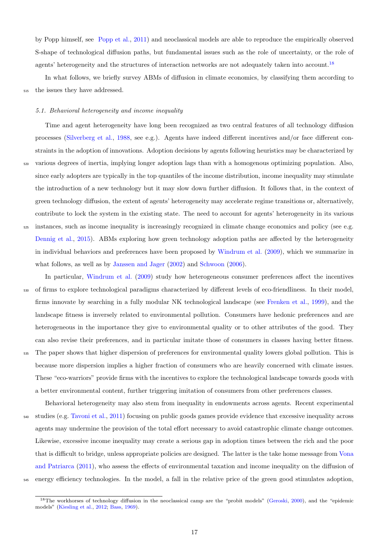by Popp himself, see [Popp et al.,](#page-28-20) [2011\)](#page-28-20) and neoclassical models are able to reproduce the empirically observed S-shape of technological diffusion paths, but fundamental issues such as the role of uncertainty, or the role of agents' heterogeneity and the structures of interaction networks are not adequately taken into account.<sup>[18](#page-0-0)</sup>

In what follows, we briefly survey ABMs of diffusion in climate economics, by classifying them according to <sup>515</sup> the issues they have addressed.

## 5.1. Behavioral heterogeneity and income inequality

Time and agent heterogeneity have long been recognized as two central features of all technology diffusion processes [\(Silverberg et al.,](#page-28-21) [1988,](#page-28-21) see e.g.). Agents have indeed different incentives and/or face different constraints in the adoption of innovations. Adoption decisions by agents following heuristics may be characterized by <sup>520</sup> various degrees of inertia, implying longer adoption lags than with a homogenous optimizing population. Also, since early adopters are typically in the top quantiles of the income distribution, income inequality may stimulate the introduction of a new technology but it may slow down further diffusion. It follows that, in the context of green technology diffusion, the extent of agents' heterogeneity may accelerate regime transitions or, alternatively, contribute to lock the system in the existing state. The need to account for agents' heterogeneity in its various <sup>525</sup> instances, such as income inequality is increasingly recognized in climate change economics and policy (see e.g. [Dennig et al.,](#page-23-13) [2015\)](#page-23-13). ABMs exploring how green technology adoption paths are affected by the heterogeneity in individual behaviors and preferences have been proposed by [Windrum et al.](#page-29-19) [\(2009\)](#page-29-19), which we summarize in what follows, as well as by [Janssen and Jager](#page-26-20) [\(2002\)](#page-26-20) and [Schwoon](#page-28-22) [\(2006\)](#page-28-22).

In particular, [Windrum et al.](#page-29-19) [\(2009\)](#page-29-19) study how heterogeneous consumer preferences affect the incentives <sup>530</sup> of firms to explore technological paradigms characterized by different levels of eco-friendliness. In their model, firms innovate by searching in a fully modular NK technological landscape (see [Frenken et al.,](#page-24-18) [1999\)](#page-24-18), and the landscape fitness is inversely related to environmental pollution. Consumers have hedonic preferences and are heterogeneous in the importance they give to environmental quality or to other attributes of the good. They can also revise their preferences, and in particular imitate those of consumers in classes having better fitness. <sup>535</sup> The paper shows that higher dispersion of preferences for environmental quality lowers global pollution. This is because more dispersion implies a higher fraction of consumers who are heavily concerned with climate issues. These "eco-warriors" provide firms with the incentives to explore the technological landscape towards goods with a better environmental content, further triggering imitation of consumers from other preferences classes.

Behavioral heterogeneity may also stem from inequality in endowments across agents. Recent experimental <sup>540</sup> studies (e.g. [Tavoni et al.,](#page-29-20) [2011\)](#page-29-20) focusing on public goods games provide evidence that excessive inequality across agents may undermine the provision of the total effort necessary to avoid catastrophic climate change outcomes. Likewise, excessive income inequality may create a serious gap in adoption times between the rich and the poor [t](#page-29-21)hat is difficult to bridge, unless appropriate policies are designed. The latter is the take home message from [Vona](#page-29-21) [and Patriarca](#page-29-21) [\(2011\)](#page-29-21), who assess the effects of environmental taxation and income inequality on the diffusion of <sup>545</sup> energy efficiency technologies. In the model, a fall in the relative price of the green good stimulates adoption,

<sup>&</sup>lt;sup>18</sup>The workhorses of technology diffusion in the neoclassical camp are the "probit models" [\(Geroski,](#page-24-19) [2000\)](#page-24-19), and the "epidemic models" [\(Kiesling et al.,](#page-26-21) [2012;](#page-26-21) [Bass,](#page-22-21) [1969\)](#page-22-21).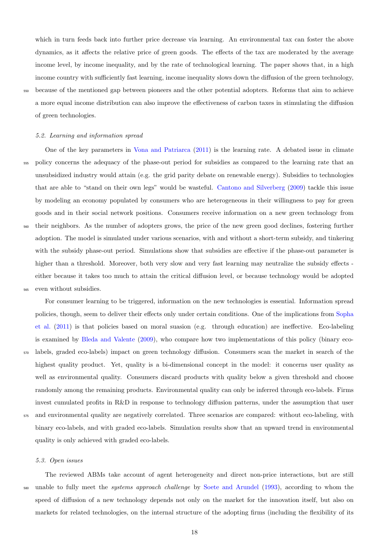which in turn feeds back into further price decrease via learning. An environmental tax can foster the above dynamics, as it affects the relative price of green goods. The effects of the tax are moderated by the average income level, by income inequality, and by the rate of technological learning. The paper shows that, in a high income country with sufficiently fast learning, income inequality slows down the diffusion of the green technology, <sup>550</sup> because of the mentioned gap between pioneers and the other potential adopters. Reforms that aim to achieve a more equal income distribution can also improve the effectiveness of carbon taxes in stimulating the diffusion of green technologies.

5.2. Learning and information spread

One of the key parameters in [Vona and Patriarca](#page-29-21) [\(2011\)](#page-29-21) is the learning rate. A debated issue in climate <sup>555</sup> policy concerns the adequacy of the phase-out period for subsidies as compared to the learning rate that an unsubsidized industry would attain (e.g. the grid parity debate on renewable energy). Subsidies to technologies that are able to "stand on their own legs" would be wasteful. [Cantono and Silverberg](#page-23-23) [\(2009\)](#page-23-23) tackle this issue by modeling an economy populated by consumers who are heterogeneous in their willingness to pay for green goods and in their social network positions. Consumers receive information on a new green technology from <sup>560</sup> their neighbors. As the number of adopters grows, the price of the new green good declines, fostering further adoption. The model is simulated under various scenarios, with and without a short-term subsidy, and tinkering with the subsidy phase-out period. Simulations show that subsidies are effective if the phase-out parameter is higher than a threshold. Moreover, both very slow and very fast learning may neutralize the subsidy effects either because it takes too much to attain the critical diffusion level, or because technology would be adopted <sup>565</sup> even without subsidies.

For consumer learning to be triggered, information on the new technologies is essential. Information spread [p](#page-28-23)olicies, though, seem to deliver their effects only under certain conditions. One of the implications from [Sopha](#page-28-23) [et al.](#page-28-23) [\(2011\)](#page-28-23) is that policies based on moral suasion (e.g. through education) are ineffective. Eco-labeling is examined by [Bleda and Valente](#page-22-22) [\(2009\)](#page-22-22), who compare how two implementations of this policy (binary eco-<sup>570</sup> labels, graded eco-labels) impact on green technology diffusion. Consumers scan the market in search of the highest quality product. Yet, quality is a bi-dimensional concept in the model: it concerns user quality as well as environmental quality. Consumers discard products with quality below a given threshold and choose randomly among the remaining products. Environmental quality can only be inferred through eco-labels. Firms invest cumulated profits in R&D in response to technology diffusion patterns, under the assumption that user <sup>575</sup> and environmental quality are negatively correlated. Three scenarios are compared: without eco-labeling, with binary eco-labels, and with graded eco-labels. Simulation results show that an upward trend in environmental quality is only achieved with graded eco-labels.

# 5.3. Open issues

The reviewed ABMs take account of agent heterogeneity and direct non-price interactions, but are still <sub>580</sub> unable to fully meet the *systems approach challenge* by [Soete and Arundel](#page-28-24) [\(1993\)](#page-28-24), according to whom the speed of diffusion of a new technology depends not only on the market for the innovation itself, but also on markets for related technologies, on the internal structure of the adopting firms (including the flexibility of its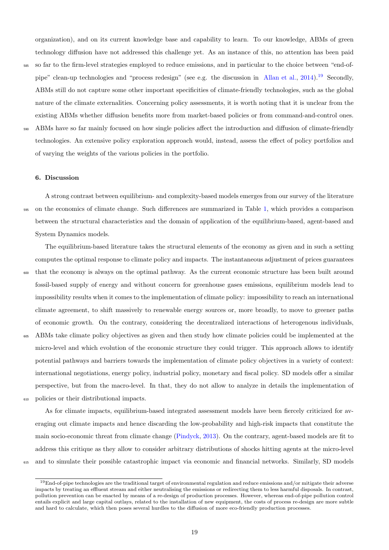organization), and on its current knowledge base and capability to learn. To our knowledge, ABMs of green technology diffusion have not addressed this challenge yet. As an instance of this, no attention has been paid

<sup>585</sup> so far to the firm-level strategies employed to reduce emissions, and in particular to the choice between "end-ofpipe" clean-up technologies and "process redesign" (see e.g. the discussion in [Allan et al.,](#page-22-20) [2014\)](#page-22-20).[19](#page-0-0) Secondly, ABMs still do not capture some other important specificities of climate-friendly technologies, such as the global nature of the climate externalities. Concerning policy assessments, it is worth noting that it is unclear from the existing ABMs whether diffusion benefits more from market-based policies or from command-and-control ones. <sup>590</sup> ABMs have so far mainly focused on how single policies affect the introduction and diffusion of climate-friendly technologies. An extensive policy exploration approach would, instead, assess the effect of policy portfolios and of varying the weights of the various policies in the portfolio.

#### <span id="page-18-0"></span>6. Discussion

A strong contrast between equilibrium- and complexity-based models emerges from our survey of the literature <sup>595</sup> on the economics of climate change. Such differences are summarized in Table [1,](#page-19-0) which provides a comparison between the structural characteristics and the domain of application of the equilibrium-based, agent-based and System Dynamics models.

The equilibrium-based literature takes the structural elements of the economy as given and in such a setting computes the optimal response to climate policy and impacts. The instantaneous adjustment of prices guarantees <sup>600</sup> that the economy is always on the optimal pathway. As the current economic structure has been built around fossil-based supply of energy and without concern for greenhouse gases emissions, equilibrium models lead to impossibility results when it comes to the implementation of climate policy: impossibility to reach an international climate agreement, to shift massively to renewable energy sources or, more broadly, to move to greener paths of economic growth. On the contrary, considering the decentralized interactions of heterogenous individuals, <sup>605</sup> ABMs take climate policy objectives as given and then study how climate policies could be implemented at the micro-level and which evolution of the economic structure they could trigger. This approach allows to identify potential pathways and barriers towards the implementation of climate policy objectives in a variety of context: international negotiations, energy policy, industrial policy, monetary and fiscal policy. SD models offer a similar perspective, but from the macro-level. In that, they do not allow to analyze in details the implementation of <sup>610</sup> policies or their distributional impacts.

As for climate impacts, equilibrium-based integrated assessment models have been fiercely criticized for averaging out climate impacts and hence discarding the low-probability and high-risk impacts that constitute the main socio-economic threat from climate change [\(Pindyck,](#page-27-0) [2013\)](#page-27-0). On the contrary, agent-based models are fit to address this critique as they allow to consider arbitrary distributions of shocks hitting agents at the micro-level <sup>615</sup> and to simulate their possible catastrophic impact via economic and financial networks. Similarly, SD models

 $19$ End-of-pipe technologies are the traditional target of environmental regulation and reduce emissions and/or mitigate their adverse impacts by treating an effluent stream and either neutralising the emissions or redirecting them to less harmful disposals. In contrast, pollution prevention can be enacted by means of a re-design of production processes. However, whereas end-of-pipe pollution control entails explicit and large capital outlays, related to the installation of new equipment, the costs of process re-design are more subtle and hard to calculate, which then poses several hurdles to the diffusion of more eco-friendly production processes.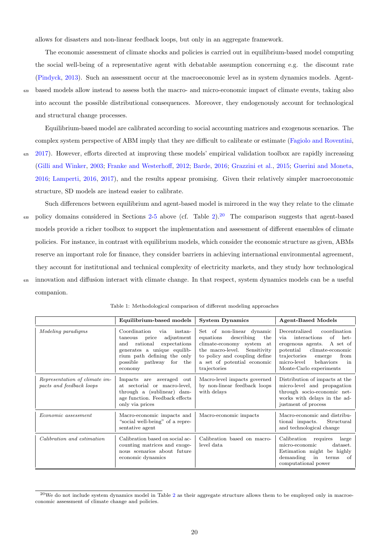allows for disasters and non-linear feedback loops, but only in an aggregate framework.

The economic assessment of climate shocks and policies is carried out in equilibrium-based model computing the social well-being of a representative agent with debatable assumption concerning e.g. the discount rate [\(Pindyck,](#page-27-0) [2013\)](#page-27-0). Such an assessment occur at the macroeconomic level as in system dynamics models. Agent-<sup>620</sup> based models allow instead to assess both the macro- and micro-economic impact of climate events, taking also into account the possible distributional consequences. Moreover, they endogenously account for technological and structural change processes.

Equilibrium-based model are calibrated according to social accounting matrices and exogenous scenarios. The complex system perspective of ABM imply that they are difficult to calibrate or estimate [\(Fagiolo and Roventini,](#page-24-20) <sup>625</sup> [2017\)](#page-24-20). However, efforts directed at improving these models' empirical validation toolbox are rapidly increasing

[\(Gilli and Winker,](#page-24-21) [2003;](#page-24-21) [Franke and Westerhoff,](#page-24-22) [2012;](#page-24-22) [Barde,](#page-22-23) [2016;](#page-22-23) [Grazzini et al.,](#page-25-22) [2015;](#page-25-22) [Guerini and Moneta,](#page-25-23) [2016;](#page-25-23) [Lamperti,](#page-26-22) [2016,](#page-26-22) [2017\)](#page-26-23), and the results appear promising. Given their relatively simpler macroeconomic structure, SD models are instead easier to calibrate.

Such differences between equilibrium and agent-based model is mirrored in the way they relate to the climate  $\epsilon_{500}$  $\epsilon_{500}$  $\epsilon_{500}$  policy domains considered in Sections [2-](#page-3-0)5 above (cf. Table [2\)](#page-20-1).<sup>[20](#page-0-0)</sup> The comparison suggests that agent-based models provide a richer toolbox to support the implementation and assessment of different ensembles of climate policies. For instance, in contrast with equilibrium models, which consider the economic structure as given, ABMs reserve an important role for finance, they consider barriers in achieving international environmental agreement, they account for institutional and technical complexity of electricity markets, and they study how technological <sup>635</sup> innovation and diffusion interact with climate change. In that respect, system dynamics models can be a useful companion.

<span id="page-19-0"></span>

|                                                           | Equilibrium-based models                                                                                                                                                                                     | <b>System Dynamics</b>                                                                                                                                                                                            | <b>Agent-Based Models</b>                                                                                                                                                                                                            |
|-----------------------------------------------------------|--------------------------------------------------------------------------------------------------------------------------------------------------------------------------------------------------------------|-------------------------------------------------------------------------------------------------------------------------------------------------------------------------------------------------------------------|--------------------------------------------------------------------------------------------------------------------------------------------------------------------------------------------------------------------------------------|
| Modeling paradigms                                        | Coordination<br>via.<br>instan-<br>price<br>adjustment<br>taneous<br>rational<br>expectations<br>and<br>generates a unique equilib-<br>rium path defining the only<br>possible pathway<br>for the<br>economy | Set of non-linear dynamic<br>describing<br>equations<br>the<br>$climate$ -economy<br>system at<br>the macro-level.<br>Sensitivity<br>to policy and coupling define<br>a set of potential economic<br>trajectories | coordination<br>Decentralized<br>of<br>interactions<br>het-<br>via.<br>A set of<br>erogenous agents.<br>potential<br>climate-economic<br>from<br>trajectories<br>emerge<br>micro-level<br>behaviors<br>in<br>Monte-Carlo experiments |
| Representation of climate im-<br>pacts and feedback loops | Impacts are averaged out<br>at sectorial or macro-level,<br>through a (sublinear) dam-<br>age function. Feedback effects<br>only via prices                                                                  | Macro-level impacts governed<br>by non-linear feedback loops<br>with delays                                                                                                                                       | Distribution of impacts at the<br>micro-level and propagation<br>through socio-economic net-<br>works with delays in the ad-<br>justment of process                                                                                  |
| Economic assessment                                       | Macro-economic impacts and<br>"social well-being" of a repre-<br>sentative agent                                                                                                                             | Macro-economic impacts                                                                                                                                                                                            | Macro-economic and distribu-<br>tional impacts.<br>Structural<br>and technological change                                                                                                                                            |
| Calibration and estimation                                | Calibration based on social ac-<br>counting matrices and exoge-<br>nous scenarios about future<br>economic dynamics                                                                                          | Calibration based on macro-<br>level data                                                                                                                                                                         | Calibration requires<br>large<br>micro-economic<br>dataset.<br>Estimation might be highly<br>demanding<br>in<br>terms<br><sub>of</sub><br>computational power                                                                        |

Table 1: Methodological comparison of different modeling approaches

<sup>&</sup>lt;sup>[2](#page-20-1)0</sup>We do not include system dynamics model in Table 2 as their aggregate structure allows them to be employed only in macroeconomic assessment of climate change and policies.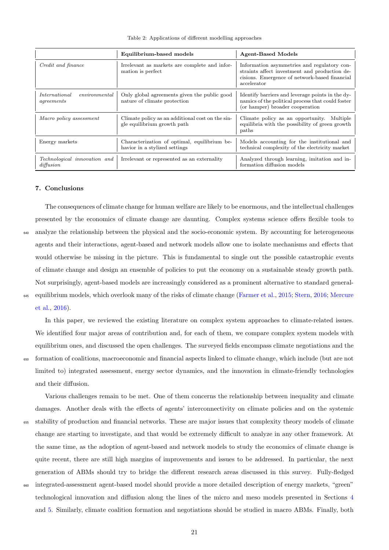<span id="page-20-1"></span>

|                                              | Equilibrium-based models                                                        | <b>Agent-Based Models</b>                                                                                                                                    |
|----------------------------------------------|---------------------------------------------------------------------------------|--------------------------------------------------------------------------------------------------------------------------------------------------------------|
| Credit and finance                           | Irrelevant as markets are complete and infor-<br>mation is perfect.             | Information asymmetries and regulatory con-<br>straints affect investment and production de-<br>cisions. Emergence of network-based financial<br>accelerator |
| International<br>environmental<br>agreements | Only global agreements given the public good<br>nature of climate protection    | Identify barriers and leverage points in the dy-<br>namics of the political process that could foster<br>(or hamper) broader cooperation                     |
| Macro policy assessment                      | Climate policy as an additional cost on the sin-<br>gle equilibrium growth path | Climate policy as an opportunity. Multiple<br>equilibria with the possibility of green growth<br>paths                                                       |
| Energy markets                               | Characterization of optimal, equilibrium be-<br>havior in a stylized settings   | Models accounting for the institutional and<br>technical complexity of the electricity market                                                                |
| Technological innovation and<br>diffusion    | Irrelevant or represented as an externality                                     | Analyzed through learning, imitation and in-<br>formation diffusion models                                                                                   |

# <span id="page-20-0"></span>7. Conclusions

The consequences of climate change for human welfare are likely to be enormous, and the intellectual challenges presented by the economics of climate change are daunting. Complex systems science offers flexible tools to <sup>640</sup> analyze the relationship between the physical and the socio-economic system. By accounting for heterogeneous agents and their interactions, agent-based and network models allow one to isolate mechanisms and effects that would otherwise be missing in the picture. This is fundamental to single out the possible catastrophic events of climate change and design an ensemble of policies to put the economy on a sustainable steady growth path. Not surprisingly, agent-based models are increasingly considered as a prominent alternative to standard general-<sup>645</sup> [e](#page-27-1)quilibrium models, which overlook many of the risks of climate change [\(Farmer et al.,](#page-24-0) [2015;](#page-24-0) [Stern,](#page-29-1) [2016;](#page-29-1) [Mercure](#page-27-1) [et al.,](#page-27-1) [2016\)](#page-27-1).

In this paper, we reviewed the existing literature on complex system approaches to climate-related issues. We identified four major areas of contribution and, for each of them, we compare complex system models with equilibrium ones, and discussed the open challenges. The surveyed fields encompass climate negotiations and the <sup>650</sup> formation of coalitions, macroeconomic and financial aspects linked to climate change, which include (but are not limited to) integrated assessment, energy sector dynamics, and the innovation in climate-friendly technologies and their diffusion.

Various challenges remain to be met. One of them concerns the relationship between inequality and climate damages. Another deals with the effects of agents' interconnectivity on climate policies and on the systemic <sup>655</sup> stability of production and financial networks. These are major issues that complexity theory models of climate change are starting to investigate, and that would be extremely difficult to analyze in any other framework. At the same time, as the adoption of agent-based and network models to study the economics of climate change is quite recent, there are still high margins of improvements and issues to be addressed. In particular, the next generation of ABMs should try to bridge the different research areas discussed in this survey. Fully-fledged <sup>660</sup> integrated-assessment agent-based model should provide a more detailed description of energy markets, "green" technological innovation and diffusion along the lines of the micro and meso models presented in Sections [4](#page-12-0) and [5.](#page-15-0) Similarly, climate coalition formation and negotiations should be studied in macro ABMs. Finally, both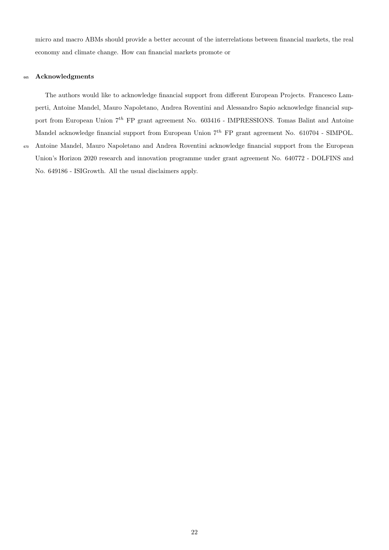micro and macro ABMs should provide a better account of the interrelations between financial markets, the real economy and climate change. How can financial markets promote or

#### <sup>665</sup> Acknowledgments

The authors would like to acknowledge financial support from different European Projects. Francesco Lamperti, Antoine Mandel, Mauro Napoletano, Andrea Roventini and Alessandro Sapio acknowledge financial support from European Union  $7<sup>th</sup>$  FP grant agreement No. 603416 - IMPRESSIONS. Tomas Balint and Antoine Mandel acknowledge financial support from European Union  $7<sup>th</sup>$  FP grant agreement No. 610704 - SIMPOL.

<sup>670</sup> Antoine Mandel, Mauro Napoletano and Andrea Roventini acknowledge financial support from the European Union's Horizon 2020 research and innovation programme under grant agreement No. 640772 - DOLFINS and No. 649186 - ISIGrowth. All the usual disclaimers apply.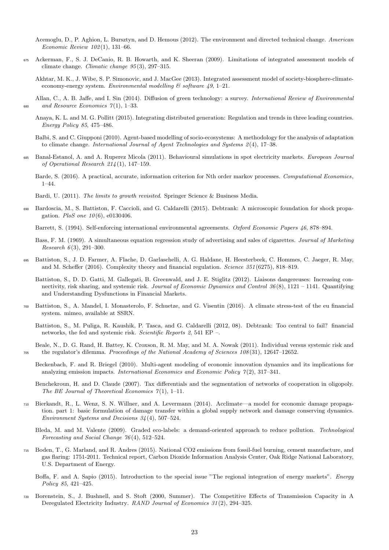<span id="page-22-8"></span>Acemoglu, D., P. Aghion, L. Bursztyn, and D. Hemous (2012). The environment and directed technical change. American Economic Review 102 (1), 131–66.

- <span id="page-22-6"></span><span id="page-22-0"></span><sup>675</sup> Ackerman, F., S. J. DeCanio, R. B. Howarth, and K. Sheeran (2009). Limitations of integrated assessment models of climate change. Climatic change 95 (3), 297–315.
	- Akhtar, M. K., J. Wibe, S. P. Simonovic, and J. MacGee (2013). Integrated assessment model of society-biosphere-climateeconomy-energy system. Environmental modelling  $\mathcal C$  software 49, 1–21.
- <span id="page-22-20"></span><span id="page-22-17"></span>Allan, C., A. B. Jaffe, and I. Sin (2014). Diffusion of green technology: a survey. International Review of Environmental 680 and Resource Economics  $\gamma(1)$ , 1–33.
	- Anaya, K. L. and M. G. Pollitt (2015). Integrating distributed generation: Regulation and trends in three leading countries. Energy Policy 85, 475–486.
	- Balbi, S. and C. Giupponi (2010). Agent-based modelling of socio-ecosystems: A methodology for the analysis of adaptation to climate change. International Journal of Agent Technologies and Systems 2 (4), 17–38.
- <span id="page-22-23"></span><span id="page-22-19"></span><span id="page-22-1"></span>685 Banal-Estanol, A. and A. Ruperez Micola (2011). Behavioural simulations in spot electricity markets. European Journal of Operational Research 214 (1), 147–159.
	- Barde, S. (2016). A practical, accurate, information criterion for Nth order markov processes. Computational Economics, 1–44.

Bardi, U. (2011). The limits to growth revisited. Springer Science & Business Media.

<span id="page-22-13"></span><span id="page-22-7"></span><sup>690</sup> Bardoscia, M., S. Battiston, F. Caccioli, and G. Caldarelli (2015). Debtrank: A microscopic foundation for shock propagation. *PloS* one  $10(6)$ , e0130406.

<span id="page-22-4"></span>Barrett, S. (1994). Self-enforcing international environmental agreements. Oxford Economic Papers 46, 878–894.

- <span id="page-22-21"></span>Bass, F. M. (1969). A simultaneous equation regression study of advertising and sales of cigarettes. Journal of Marketing Research  $6(3)$ , 291-300.
- <span id="page-22-15"></span><span id="page-22-2"></span><sup>695</sup> Battiston, S., J. D. Farmer, A. Flache, D. Garlaschelli, A. G. Haldane, H. Heesterbeek, C. Hommes, C. Jaeger, R. May, and M. Scheffer (2016). Complexity theory and financial regulation. Science 351 (6275), 818–819.
	- Battiston, S., D. D. Gatti, M. Gallegati, B. Greenwald, and J. E. Stiglitz (2012). Liaisons dangereuses: Increasing connectivity, risk sharing, and systemic risk. Journal of Economic Dynamics and Control  $36(8)$ , 1121 – 1141. Quantifying and Understanding Dysfunctions in Financial Markets.
- <span id="page-22-12"></span><span id="page-22-11"></span><sup>700</sup> Battiston, S., A. Mandel, I. Monasterolo, F. Schuetze, and G. Visentin (2016). A climate stress-test of the eu financial system. mimeo, available at SSRN.
	- Battiston, S., M. Puliga, R. Kaushik, P. Tasca, and G. Caldarelli (2012, 08). Debtrank: Too central to fail? financial networks, the fed and systemic risk. Scientific Reports 2, 541 EP –.
- <span id="page-22-14"></span><span id="page-22-9"></span>Beale, N., D. G. Rand, H. Battey, K. Croxson, R. M. May, and M. A. Nowak (2011). Individual versus systemic risk and <sup>705</sup> the regulator's dilemma. Proceedings of the National Academy of Sciences 108 (31), 12647–12652.
	- Beckenbach, F. and R. Briegel (2010). Multi-agent modeling of economic innovation dynamics and its implications for analyzing emission impacts. International Economics and Economic Policy  $\gamma(2)$ , 317–341.
	- Benchekroun, H. and D. Claude (2007). Tax differentials and the segmentation of networks of cooperation in oligopoly. The BE Journal of Theoretical Economics  $\mathcal{I}(1)$ , 1–11.
- <span id="page-22-10"></span><span id="page-22-5"></span><sup>710</sup> Bierkandt, R., L. Wenz, S. N. Willner, and A. Levermann (2014). Acclimate—a model for economic damage propagation. part 1: basic formulation of damage transfer within a global supply network and damage conserving dynamics. Environment Systems and Decisions 34 (4), 507–524.
	- Bleda, M. and M. Valente (2009). Graded eco-labels: a demand-oriented approach to reduce pollution. Technological Forecasting and Social Change 76 (4), 512–524.
- <span id="page-22-22"></span><span id="page-22-3"></span><sup>715</sup> Boden, T., G. Marland, and R. Andres (2015). National CO2 emissions from fossil-fuel burning, cement manufacture, and gas flaring: 1751-2011. Technical report, Carbon Dioxide Information Analysis Center, Oak Ridge National Laboratory, U.S. Department of Energy.
	- Boffa, F. and A. Sapio (2015). Introduction to the special issue "The regional integration of energy markets". Energy Policy 85, 421–425.
- <span id="page-22-18"></span><span id="page-22-16"></span><sup>720</sup> Borenstein, S., J. Bushnell, and S. Stoft (2000, Summer). The Competitive Effects of Transmission Capacity in A Deregulated Electricity Industry. RAND Journal of Economics 31 (2), 294–325.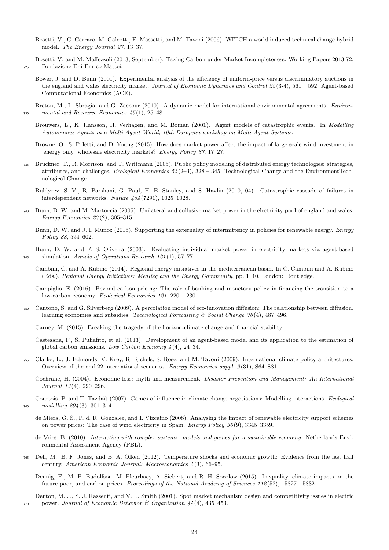<span id="page-23-6"></span>Bosetti, V., C. Carraro, M. Galeotti, E. Massetti, and M. Tavoni (2006). WITCH a world induced technical change hybrid model. The Energy Journal 27, 13–37.

- <span id="page-23-15"></span><span id="page-23-12"></span>Bosetti, V. and M. Maffezzoli (2013, September). Taxing Carbon under Market Incompleteness. Working Papers 2013.72, <sup>725</sup> Fondazione Eni Enrico Mattei.
	- Bower, J. and D. Bunn (2001). Experimental analysis of the efficiency of uniform-price versus discriminatory auctions in the england and wales electricity market. Journal of Economic Dynamics and Control  $25(3-4)$ , 561 – 592. Agent-based Computational Economics (ACE).
- <span id="page-23-4"></span><span id="page-23-1"></span>Breton, M., L. Sbragia, and G. Zaccour (2010). A dynamic model for international environmental agreements. Environ $mental$  and Resource Economics  $45(1)$ , 25–48.
	- Brouwers, L., K. Hansson, H. Verhagen, and M. Boman (2001). Agent models of catastrophic events. In Modelling Autonomous Agents in a Multi-Agent World, 10th European workshop on Multi Agent Systems.

<span id="page-23-20"></span>Browne, O., S. Poletti, and D. Young (2015). How does market power affect the impact of large scale wind investment in 'energy only' wholesale electricity markets? Energy Policy 87, 17–27.

- <span id="page-23-18"></span><sup>735</sup> Bruckner, T., R. Morrison, and T. Wittmann (2005). Public policy modeling of distributed energy technologies: strategies, attributes, and challenges. Ecological Economics 54 (2–3), 328 – 345. Technological Change and the EnvironmentTechnological Change.
	- Buldyrev, S. V., R. Parshani, G. Paul, H. E. Stanley, and S. Havlin (2010, 04). Catastrophic cascade of failures in interdependent networks. Nature 464 (7291), 1025–1028.
- <span id="page-23-22"></span><span id="page-23-17"></span><span id="page-23-11"></span>Bunn, D. W. and M. Martoccia (2005). Unilateral and collusive market power in the electricity pool of england and wales. Energy Economics  $27(2)$ , 305-315.
	- Bunn, D. W. and J. I. Munoz (2016). Supporting the externality of intermittency in policies for renewable energy. Energy Policy 88, 594–602.
- <span id="page-23-21"></span><span id="page-23-16"></span>Bunn, D. W. and F. S. Oliveira (2003). Evaluating individual market power in electricity markets via agent-based <sup>745</sup> simulation. Annals of Operations Research 121 (1), 57–77.
	- Cambini, C. and A. Rubino (2014). Regional energy initiatives in the mediterranean basin. In C. Cambini and A. Rubino (Eds.), Regional Energy Initiatives: MedReg and the Energy Community, pp. 1–10. London: Routledge.
	- Campiglio, E. (2016). Beyond carbon pricing: The role of banking and monetary policy in financing the transition to a low-carbon economy. Ecological Economics 121, 220 – 230.
- <span id="page-23-23"></span><span id="page-23-10"></span><span id="page-23-9"></span><sup>750</sup> Cantono, S. and G. Silverberg (2009). A percolation model of eco-innovation diffusion: The relationship between diffusion, learning economies and subsidies. Technological Forecasting  $\mathcal C$  Social Change 76(4), 487–496.
	- Carney, M. (2015). Breaking the tragedy of the horizon-climate change and financial stability.
	- Castesana, P., S. Puliafito, et al. (2013). Development of an agent-based model and its application to the estimation of global carbon emissions. Low Carbon Economy  $4(4)$ , 24–34.
- <span id="page-23-8"></span><span id="page-23-7"></span><span id="page-23-0"></span><sup>755</sup> Clarke, L., J. Edmonds, V. Krey, R. Richels, S. Rose, and M. Tavoni (2009). International climate policy architectures: Overview of the emf 22 international scenarios. Energy Economics suppl. 2 (31), S64–S81.
	- Cochrane, H. (2004). Economic loss: myth and measurement. Disaster Prevention and Management: An International Journal  $13(4)$ , 290-296.
- <span id="page-23-19"></span><span id="page-23-2"></span>Courtois, P. and T. Tazdaït (2007). Games of influence in climate change negotiations: Modelling interactions. Ecological <sup>760</sup> modelling 204 (3), 301–314.
	- de Miera, G. S., P. d. R. Gonzalez, and I. Vizcaino (2008). Analysing the impact of renewable electricity support schemes on power prices: The case of wind electricity in Spain. Energy Policy  $36(9)$ , 3345–3359.
	- de Vries, B. (2010). Interacting with complex systems: models and games for a sustainable economy. Netherlands Environmental Assessment Agency (PBL).
- <span id="page-23-13"></span><span id="page-23-5"></span><span id="page-23-3"></span><sup>765</sup> Dell, M., B. F. Jones, and B. A. Olken (2012). Temperature shocks and economic growth: Evidence from the last half century. American Economic Journal: Macroeconomics 4 (3), 66–95.
	- Dennig, F., M. B. Budolfson, M. Fleurbaey, A. Siebert, and R. H. Socolow (2015). Inequality, climate impacts on the future poor, and carbon prices. Proceedings of the National Academy of Sciences 112 (52), 15827–15832.

<span id="page-23-14"></span>Denton, M. J., S. J. Rassenti, and V. L. Smith (2001). Spot market mechanism design and competitivity issues in electric 770 power. Journal of Economic Behavior & Organization  $44(4)$ , 435-453.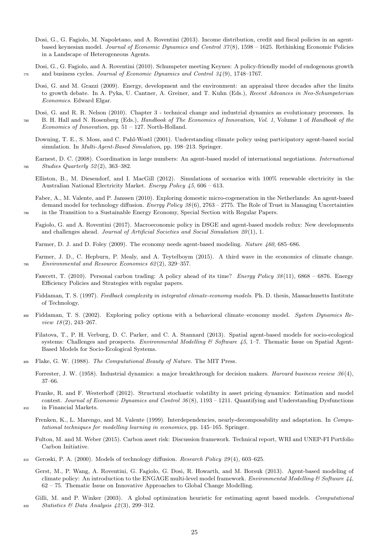- <span id="page-24-12"></span>Dosi, G., G. Fagiolo, M. Napoletano, and A. Roventini (2013). Income distribution, credit and fiscal policies in an agentbased keynesian model. Journal of Economic Dynamics and Control 37 (8), 1598 – 1625. Rethinking Economic Policies in a Landscape of Heterogeneous Agents.
- <span id="page-24-17"></span><span id="page-24-5"></span>Dosi, G., G. Fagiolo, and A. Roventini (2010). Schumpeter meeting Keynes: A policy-friendly model of endogenous growth <sup>775</sup> and business cycles. Journal of Economic Dynamics and Control 34 (9), 1748–1767.
	- Dosi, G. and M. Grazzi (2009). Energy, development and the environment: an appraisal three decades after the limits to growth debate. In A. Pyka, U. Cantner, A. Greiner, and T. Kuhn (Eds.), Recent Advances in Neo-Schumpeterian Economics. Edward Elgar.
- <span id="page-24-3"></span>Dosi, G. and R. R. Nelson (2010). Chapter 3 - technical change and industrial dynamics as evolutionary processes. In <sup>780</sup> B. H. Hall and N. Rosenberg (Eds.), Handbook of The Economics of Innovation, Vol. 1, Volume 1 of Handbook of the Economics of Innovation, pp. 51 – 127. North-Holland.
	- Downing, T. E., S. Moss, and C. Pahl-Wostl (2001). Understanding climate policy using participatory agent-based social simulation. In Multi-Agent-Based Simulation, pp. 198–213. Springer.
- <span id="page-24-14"></span><span id="page-24-8"></span><span id="page-24-6"></span>Earnest, D. C. (2008). Coordination in large numbers: An agent-based model of international negotiations. International  $55$  Studies Quarterly  $52(2)$ , 363-382.
	- Elliston, B., M. Diesendorf, and I. MacGill (2012). Simulations of scenarios with 100% renewable electricity in the Australian National Electricity Market. Energy Policy 45, 606 – 613.
- <span id="page-24-15"></span>Faber, A., M. Valente, and P. Janssen (2010). Exploring domestic micro-cogeneration in the Netherlands: An agent-based demand model for technology diffusion. Energy Policy  $38(6)$ ,  $2763 - 2775$ . The Role of Trust in Managing Uncertainties <sup>790</sup> in the Transition to a Sustainable Energy Economy, Special Section with Regular Papers.

<span id="page-24-20"></span>Fagiolo, G. and A. Roventini (2017). Macroeconomic policy in DSGE and agent-based models redux: New developments and challenges ahead. Journal of Artificial Societies and Social Simulation  $20(1)$ , 1.

Farmer, D. J. and D. Foley (2009). The economy needs agent-based modeling. Nature 460, 685–686.

- <span id="page-24-16"></span><span id="page-24-2"></span><span id="page-24-0"></span>Farmer, J. D., C. Hepburn, P. Mealy, and A. Teytelboym (2015). A third wave in the economics of climate change. <sup>795</sup> Environmental and Resource Economics 62 (2), 329–357.
	- Fawcett, T. (2010). Personal carbon trading: A policy ahead of its time? Energy Policy 38(11), 6868 6876. Energy Efficiency Policies and Strategies with regular papers.
	- Fiddaman, T. S. (1997). Feedback complexity in integrated climate-economy models. Ph. D. thesis, Massachusetts Institute of Technology.
- <span id="page-24-11"></span><span id="page-24-10"></span><span id="page-24-4"></span>800 Fiddaman, T. S. (2002). Exploring policy options with a behavioral climate–economy model. System Dynamics Review 18(2), 243-267.
	- Filatova, T., P. H. Verburg, D. C. Parker, and C. A. Stannard (2013). Spatial agent-based models for socio-ecological systems: Challenges and prospects. *Environmental Modelling & Software 45*, 1–7. Thematic Issue on Spatial Agent-Based Models for Socio-Ecological Systems.
- <span id="page-24-9"></span><span id="page-24-1"></span><sup>805</sup> Flake, G. W. (1988). The Computational Beauty of Nature. The MIT Press.
	- Forrester, J. W. (1958). Industrial dynamics: a major breakthrough for decision makers. *Harvard business review* 36(4), 37–66.
- <span id="page-24-22"></span><span id="page-24-18"></span>Franke, R. and F. Westerhoff (2012). Structural stochastic volatility in asset pricing dynamics: Estimation and model contest. Journal of Economic Dynamics and Control  $36(8)$ , 1193 – 1211. Quantifying and Understanding Dysfunctions <sup>810</sup> in Financial Markets.
	- Frenken, K., L. Marengo, and M. Valente (1999). Interdependencies, nearly-decomposability and adaptation. In Computational techniques for modelling learning in economics, pp. 145–165. Springer.
	- Fulton, M. and M. Weber (2015). Carbon asset risk: Discussion framework. Technical report, WRI and UNEP-FI Portfolio Carbon Initiative.
- <span id="page-24-19"></span><span id="page-24-13"></span><span id="page-24-7"></span><sup>815</sup> Geroski, P. A. (2000). Models of technology diffusion. Research Policy 29 (4), 603–625.
	- Gerst, M., P. Wang, A. Roventini, G. Fagiolo, G. Dosi, R. Howarth, and M. Borsuk (2013). Agent-based modeling of climate policy: An introduction to the ENGAGE multi-level model framework. Environmental Modelling  $\&$  Software  $44$ , 62 – 75. Thematic Issue on Innovative Approaches to Global Change Modelling.

<span id="page-24-21"></span>Gilli, M. and P. Winker (2003). A global optimization heuristic for estimating agent based models. Computational 820 Statistics & Data Analysis  $\frac{42(3)}{3}$ , 299–312.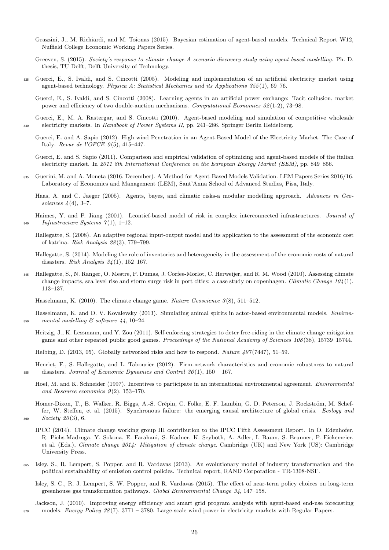- <span id="page-25-22"></span>Grazzini, J., M. Richiardi, and M. Tsionas (2015). Bayesian estimation of agent-based models. Technical Report W12, Nuffield College Economic Working Papers Series.
- <span id="page-25-4"></span>Greeven, S. (2015). Society's response to climate change-A scenario discovery study using agent-based modelling. Ph. D. thesis, TU Delft, Delft University of Technology.
- <span id="page-25-18"></span><span id="page-25-17"></span><sup>825</sup> Guerci, E., S. Ivaldi, and S. Cincotti (2005). Modeling and implementation of an artificial electricity market using agent-based technology. Physica A: Statistical Mechanics and its Applications  $355(1)$ , 69–76.
	- Guerci, E., S. Ivaldi, and S. Cincotti (2008). Learning agents in an artificial power exchange: Tacit collusion, market power and efficiency of two double-auction mechanisms. Computational Economics 32 (1-2), 73–98.
- <span id="page-25-20"></span><span id="page-25-16"></span>Guerci, E., M. A. Rastergar, and S. Cincotti (2010). Agent-based modeling and simulation of competitive wholesale 830 electricity markets. In Handbook of Power Systems II, pp. 241-286. Springer Berlin Heidelberg.
	- Guerci, E. and A. Sapio (2012). High wind Penetration in an Agent-Based Model of the Electricity Market. The Case of Italy. Revue de l'OFCE  $0(5)$ , 415–447.
	- Guerci, E. and S. Sapio (2011). Comparison and empirical validation of optimizing and agent-based models of the italian electricity market. In 2011 8th International Conference on the European Energy Market (EEM), pp. 849–856.
- <span id="page-25-23"></span><span id="page-25-19"></span><span id="page-25-7"></span>835 Guerini, M. and A. Moneta (2016, December). A Method for Agent-Based Models Validation. LEM Papers Series 2016/16, Laboratory of Economics and Management (LEM), Sant'Anna School of Advanced Studies, Pisa, Italy.
	- Haas, A. and C. Jaeger (2005). Agents, bayes, and climatic risks-a modular modelling approach. Advances in Geosciences  $4(4)$ , 3-7.
- <span id="page-25-13"></span><span id="page-25-9"></span>Haimes, Y. and P. Jiang (2001). Leontief-based model of risk in complex interconnected infrastructures. Journal of 840 Infrastructure Systems  $7(1)$ , 1–12.
	- Hallegatte, S. (2008). An adaptive regional input-output model and its application to the assessment of the economic cost of katrina. Risk Analysis 28 (3), 779–799.
	- Hallegatte, S. (2014). Modeling the role of inventories and heterogeneity in the assessment of the economic costs of natural disasters. Risk Analysis  $34(1)$ , 152-167.
- <span id="page-25-11"></span><span id="page-25-10"></span>845 Hallegatte, S., N. Ranger, O. Mestre, P. Dumas, J. Corfee-Morlot, C. Herweijer, and R. M. Wood (2010). Assessing climate change impacts, sea level rise and storm surge risk in port cities: a case study on copenhagen. Climatic Change  $104(1)$ , 113–137.

Hasselmann, K. (2010). The climate change game. Nature Geoscience 3(8), 511–512.

- <span id="page-25-6"></span><span id="page-25-5"></span><span id="page-25-2"></span>Hasselmann, K. and D. V. Kovalevsky (2013). Simulating animal spirits in actor-based environmental models. Environ-850 mental modelling  $\mathcal{B}$  software  $\mathcal{A}$ , 10–24.
	- Heitzig, J., K. Lessmann, and Y. Zou (2011). Self-enforcing strategies to deter free-riding in the climate change mitigation game and other repeated public good games. Proceedings of the National Academy of Sciences 108 (38), 15739–15744.

Helbing, D. (2013, 05). Globally networked risks and how to respond. Nature  $497(7447)$ , 51–59.

- <span id="page-25-14"></span><span id="page-25-12"></span><span id="page-25-1"></span>Henriet, F., S. Hallegatte, and L. Tabourier (2012). Firm-network characteristics and economic robustness to natural 855 disasters. Journal of Economic Dynamics and Control  $36(1)$ ,  $150 - 167$ .
	- Hoel, M. and K. Schneider (1997). Incentives to participate in an international environmental agreement. Environmental and Resource economics  $9(2)$ , 153-170.
- <span id="page-25-15"></span><span id="page-25-0"></span>Homer-Dixon, T., B. Walker, R. Biggs, A.-S. Crépin, C. Folke, E. F. Lambin, G. D. Peterson, J. Rockström, M. Scheffer, W. Steffen, et al. (2015). Synchronous failure: the emerging causal architecture of global crisis. Ecology and 860 Society  $20(3)$ , 6.
	- IPCC (2014). Climate change working group III contribution to the IPCC Fifth Assessment Report. In O. Edenhofer, R. Pichs-Madruga, Y. Sokona, E. Farahani, S. Kadner, K. Seyboth, A. Adler, I. Baum, S. Brunner, P. Eickemeier, et al. (Eds.), Climate change 2014: Mitigation of climate change. Cambridge (UK) and New York (US): Cambridge University Press.
- <span id="page-25-8"></span><span id="page-25-3"></span><sup>865</sup> Isley, S., R. Lempert, S. Popper, and R. Vardavas (2013). An evolutionary model of industry transformation and the political sustainability of emission control policies. Technical report, RAND Corporation - TR-1308-NSF.
	- Isley, S. C., R. J. Lempert, S. W. Popper, and R. Vardavas (2015). The effect of near-term policy choices on long-term greenhouse gas transformation pathways. Global Environmental Change 34, 147–158.
- <span id="page-25-21"></span>Jackson, J. (2010). Improving energy efficiency and smart grid program analysis with agent-based end-use forecasting 870 models. Energy Policy 38(7), 3771 – 3780. Large-scale wind power in electricity markets with Regular Papers.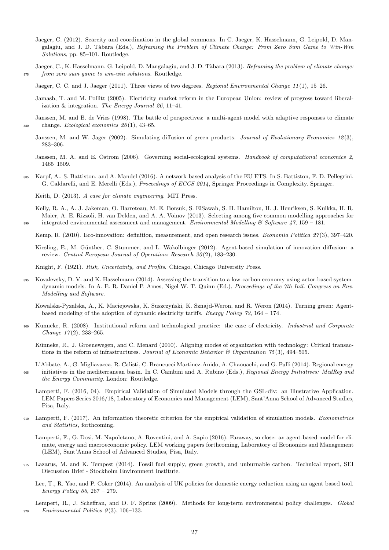- <span id="page-26-9"></span>Jaeger, C. (2012). Scarcity and coordination in the global commons. In C. Jaeger, K. Hasselmann, G. Leipold, D. Mangalagiu, and J. D. Tàbara (Eds.), Reframing the Problem of Climate Change: From Zero Sum Game to Win-Win Solutions, pp. 85–101. Routledge.
- <span id="page-26-8"></span><span id="page-26-2"></span>Jaeger, C., K. Hasselmann, G. Leipold, D. Mangalagiu, and J. D. Tàbara (2013). Reframing the problem of climate change: <sup>875</sup> from zero sum game to win-win solutions. Routledge.
	- Jaeger, C. C. and J. Jaeger (2011). Three views of two degrees. Regional Environmental Change 11(1), 15–26.
	- Jamasb, T. and M. Pollitt (2005). Electricity market reform in the European Union: review of progress toward liberalization & integration. The Energy Journal 26, 11–41.
- <span id="page-26-20"></span><span id="page-26-11"></span><span id="page-26-5"></span>Janssen, M. and B. de Vries (1998). The battle of perspectives: a multi-agent model with adaptive responses to climate 880 change. Ecological economics  $26(1)$ , 43–65.
	- Janssen, M. and W. Jager (2002). Simulating diffusion of green products. Journal of Evolutionary Economics 12(3), 283–306.
	- Janssen, M. A. and E. Ostrom (2006). Governing social-ecological systems. Handbook of computational economics 2, 1465–1509.
- <span id="page-26-18"></span><span id="page-26-16"></span><span id="page-26-3"></span>885 Karpf, A., S. Battiston, and A. Mandel (2016). A network-based analysis of the EU ETS. In S. Battiston, F. D. Pellegrini, G. Caldarelli, and E. Merelli (Eds.), Proceedings of ECCS 2014, Springer Proceedings in Complexity. Springer.
	- Keith, D. (2013). A case for climate engineering. MIT Press.

<span id="page-26-0"></span>Kelly, R. A., A. J. Jakeman, O. Barreteau, M. E. Borsuk, S. ElSawah, S. H. Hamilton, H. J. Henriksen, S. Kuikka, H. R. Maier, A. E. Rizzoli, H. van Delden, and A. A. Voinov (2013). Selecting among five common modelling approaches for integrated environmental assessment and management. Environmental Modelling & Software  $47, 159 - 181$ .

<span id="page-26-17"></span>Kemp, R. (2010). Eco-innovation: definition, measurement, and open research issues. Economia Politica 27 (3), 397–420.

<span id="page-26-21"></span>Kiesling, E., M. Günther, C. Stummer, and L. Wakolbinger (2012). Agent-based simulation of innovation diffusion: a review. Central European Journal of Operations Research 20 (2), 183–230.

Knight, F. (1921). Risk, Uncertainty, and Profits. Chicago, Chicago University Press.

- <span id="page-26-7"></span><span id="page-26-1"></span><sup>895</sup> Kovalevsky, D. V. and K. Hasselmann (2014). Assessing the transition to a low-carbon economy using actor-based systemdynamic models. In A. E. R. Daniel P. Ames, Nigel W. T. Quinn (Ed.), Proceedings of the 7th Intl. Congress on Env. Modelling and Software.
	- Kowalska-Pyzalska, A., K. Maciejowska, K. Suszczyński, K. Sznajd-Weron, and R. Weron (2014). Turning green: Agentbased modeling of the adoption of dynamic electricity tariffs. Energy Policy 72, 164 – 174.
- <span id="page-26-19"></span><span id="page-26-13"></span><span id="page-26-12"></span><sup>900</sup> Kunneke, R. (2008). Institutional reform and technological practice: the case of electricity. Industrial and Corporate Change  $17(2)$ , 233-265.
	- Künneke, R., J. Groenewegen, and C. Menard (2010). Aligning modes of organization with technology: Critical transactions in the reform of infrastructures. Journal of Economic Behavior  $\mathcal{B}$  Organization 75(3), 494–505.
- <span id="page-26-22"></span><span id="page-26-14"></span>L'Abbate, A., G. Migliavacca, R. Calisti, C. Brancucci Martinez-Anido, A. Chaouachi, and G. Fulli (2014). Regional energy <sup>905</sup> initiatives in the mediterranean basin. In C. Cambini and A. Rubino (Eds.), Regional Energy Initiatives: MedReg and the Energy Community. London: Routledge.
	- Lamperti, F. (2016, 04). Empirical Validation of Simulated Models through the GSL-div: an Illustrative Application. LEM Papers Series 2016/18, Laboratory of Economics and Management (LEM), Sant'Anna School of Advanced Studies, Pisa, Italy.
- <span id="page-26-23"></span><span id="page-26-6"></span><sup>910</sup> Lamperti, F. (2017). An information theoretic criterion for the empirical validation of simulation models. Econometrics and Statistics, forthcoming.
	- Lamperti, F., G. Dosi, M. Napoletano, A. Roventini, and A. Sapio (2016). Faraway, so close: an agent-based model for climate, energy and macroeconomic policy. LEM working papers forthcoming, Laboratory of Economics and Management (LEM), Sant'Anna School of Advanced Studies, Pisa, Italy.
- <span id="page-26-15"></span><span id="page-26-10"></span><sup>915</sup> Lazarus, M. and K. Tempest (2014). Fossil fuel supply, green growth, and unburnable carbon. Technical report, SEI Discussion Brief - Stockholm Environment Institute.
	- Lee, T., R. Yao, and P. Coker (2014). An analysis of UK policies for domestic energy reduction using an agent based tool. Energy Policy 66, 267 – 279.
- <span id="page-26-4"></span>Lempert, R., J. Scheffran, and D. F. Sprinz (2009). Methods for long-term environmental policy challenges. Global 920 Environmental Politics  $9(3)$ , 106-133.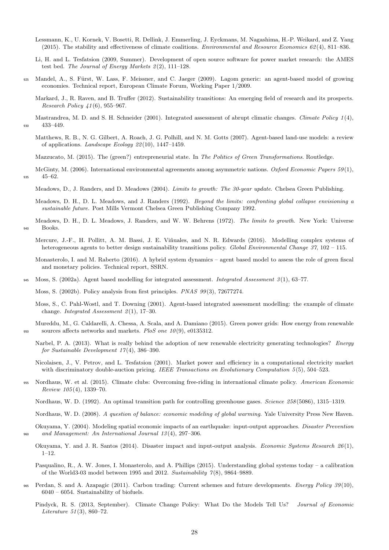<span id="page-27-8"></span>Lessmann, K., U. Kornek, V. Bosetti, R. Dellink, J. Emmerling, J. Eyckmans, M. Nagashima, H.-P. Weikard, and Z. Yang (2015). The stability and effectiveness of climate coalitions. Environmental and Resource Economics 62 (4), 811–836.

- <span id="page-27-22"></span>Li, H. and L. Tesfatsion (2009, Summer). Development of open source software for power market research: the AMES test bed. The Journal of Energy Markets  $2(2)$ , 111–128.
- <span id="page-27-25"></span><span id="page-27-16"></span><sup>925</sup> Mandel, A., S. F¨urst, W. Lass, F. Meissner, and C. Jaeger (2009). Lagom generic: an agent-based model of growing economies. Technical report, European Climate Forum, Working Paper 1/2009.
	- Markard, J., R. Raven, and B. Truffer (2012). Sustainability transitions: An emerging field of research and its prospects. Research Policy 41 (6), 955–967.
- <span id="page-27-11"></span><span id="page-27-6"></span>Mastrandrea, M. D. and S. H. Schneider (2001). Integrated assessment of abrupt climatic changes. Climate Policy 1(4), <sup>930</sup> 433–449.
	- Matthews, R. B., N. G. Gilbert, A. Roach, J. G. Polhill, and N. M. Gotts (2007). Agent-based land-use models: a review of applications. Landscape Ecology  $22(10)$ , 1447–1459.

Mazzucato, M. (2015). The (green?) entrepreneurial state. In The Politics of Green Transformations. Routledge.

- <span id="page-27-19"></span><span id="page-27-14"></span><span id="page-27-7"></span>McGinty, M. (2006). International environmental agreements among asymmetric nations. Oxford Economic Papers 59 (1),  $935 - 45 - 62$ .
	- Meadows, D., J. Randers, and D. Meadows (2004). Limits to growth: The 30-year update. Chelsea Green Publishing.
	- Meadows, D. H., D. L. Meadows, and J. Randers (1992). Beyond the limits: confronting global collapse envisioning a sustainable future. Post Mills Vermont Chelsea Green Publishing Company 1992.
- <span id="page-27-13"></span><span id="page-27-10"></span><span id="page-27-1"></span>Meadows, D. H., D. L. Meadows, J. Randers, and W. W. Behrens (1972). The limits to growth. New York: Universe  $940$  Books.
	- Mercure, J.-F., H. Pollitt, A. M. Bassi, J. E. Viñuales, and N. R. Edwards (2016). Modelling complex systems of heterogeneous agents to better design sustainability transitions policy. Global Environmental Change 37, 102 – 115.
	- Monasterolo, I. and M. Raberto (2016). A hybrid system dynamics agent based model to assess the role of green fiscal and monetary policies. Technical report, SSRN.
- <span id="page-27-12"></span><span id="page-27-4"></span><span id="page-27-3"></span>945 Moss, S. (2002a). Agent based modelling for integrated assessment. Integrated Assessment 3(1), 63–77.

Moss, S. (2002b). Policy analysis from first principles. *PNAS* 99(3), 72677274.

- <span id="page-27-2"></span>Moss, S., C. Pahl-Wostl, and T. Downing (2001). Agent-based integrated assessment modelling: the example of climate change. Integrated Assessment  $2(1)$ , 17-30.
- <span id="page-27-26"></span><span id="page-27-23"></span>Mureddu, M., G. Caldarelli, A. Chessa, A. Scala, and A. Damiano (2015). Green power grids: How energy from renewable 950 sources affects networks and markets.  $P \log \,$  one 10(9), e0135312.
	- Narbel, P. A. (2013). What is really behind the adoption of new renewable electricity generating technologies? Energy for Sustainable Development 17 (4), 386–390.
	- Nicolaisen, J., V. Petrov, and L. Tesfatsion (2001). Market power and efficiency in a computational electricity market with discriminatory double-auction pricing. IEEE Transactions on Evolutionary Computation 5(5), 504–523.
- <span id="page-27-21"></span><span id="page-27-9"></span><span id="page-27-5"></span>955 Nordhaus, W. et al. (2015). Climate clubs: Overcoming free-riding in international climate policy. American Economic Review 105 (4), 1339–70.
	- Nordhaus, W. D. (1992). An optimal transition path for controlling greenhouse gases. Science 258 (5086), 1315–1319.
	- Nordhaus, W. D. (2008). A question of balance: economic modeling of global warming. Yale University Press New Haven.
- <span id="page-27-20"></span><span id="page-27-18"></span><span id="page-27-17"></span>Okuyama, Y. (2004). Modeling spatial economic impacts of an earthquake: input-output approaches. Disaster Prevention <sup>960</sup> and Management: An International Journal 13 (4), 297–306.
	- Okuyama, Y. and J. R. Santos (2014). Disaster impact and input-output analysis. Economic Systems Research  $26(1)$ ,  $1-12.$
	- Pasqualino, R., A. W. Jones, I. Monasterolo, and A. Phillips (2015). Understanding global systems today a calibration of the World3-03 model between 1995 and 2012. Sustainability 7 (8), 9864–9889.
- <span id="page-27-24"></span><span id="page-27-15"></span><span id="page-27-0"></span>965 Perdan, S. and A. Azapagic (2011). Carbon trading: Current schemes and future developments. Energy Policy 39(10), 6040 – 6054. Sustainability of biofuels.
	- Pindyck, R. S. (2013, September). Climate Change Policy: What Do the Models Tell Us? Journal of Economic Literature  $51(3)$ , 860-72.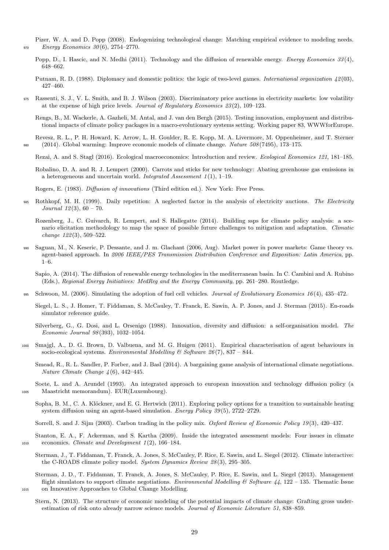<span id="page-28-19"></span>Pizer, W. A. and D. Popp (2008). Endogenizing technological change: Matching empirical evidence to modeling needs. 970 Energy Economics  $30(6)$ , 2754–2770.

- <span id="page-28-20"></span>Popp, D., I. Hascic, and N. Medhi (2011). Technology and the diffusion of renewable energy. *Energy Economics* 33(4), 648–662.
- <span id="page-28-5"></span>Putnam, R. D. (1988). Diplomacy and domestic politics: the logic of two-level games. *International organization 42* (03), 427–460.
- <span id="page-28-14"></span><span id="page-28-12"></span><sup>975</sup> Rassenti, S. J., V. L. Smith, and B. J. Wilson (2003). Discriminatory price auctions in electricity markets: low volatility at the expense of high price levels. Journal of Regulatory Economics 23 (2), 109–123.
	- Rengs, B., M. Wackerle, A. Gazheli, M. Antal, and J. van den Bergh (2015). Testing innovation, employment and distributional impacts of climate policy packages in a macro-evolutionary systems setting. Working paper 83, WWWforEurope.
- <span id="page-28-1"></span>Revesz, R. L., P. H. Howard, K. Arrow, L. H. Goulder, R. E. Kopp, M. A. Livermore, M. Oppenheimer, and T. Sterner 980 (2014). Global warming: Improve economic models of climate change. Nature  $508(7495)$ , 173–175.

<span id="page-28-7"></span>Rezai, A. and S. Stagl (2016). Ecological macroeconomics: Introduction and review. Ecological Economics 121, 181–185.

<span id="page-28-11"></span>Robalino, D. A. and R. J. Lempert (2000). Carrots and sticks for new technology: Abating greenhouse gas emissions in a heterogeneous and uncertain world. Integrated Assessment  $1(1)$ , 1–19.

<span id="page-28-18"></span>Rogers, E. (1983). Diffusion of innovations (Third edition ed.). New York: Free Press.

- <span id="page-28-13"></span><span id="page-28-6"></span>985 Rothkopf, M. H. (1999). Daily repetition: A neglected factor in the analysis of electricity auctions. The Electricity Journal  $12(3)$ , 60 – 70.
	- Rozenberg, J., C. Guivarch, R. Lempert, and S. Hallegatte (2014). Building ssps for climate policy analysis: a scenario elicitation methodology to map the space of possible future challenges to mitigation and adaptation. Climatic change 122(3), 509-522.
- <span id="page-28-15"></span><sup>990</sup> Saguan, M., N. Keseric, P. Dessante, and J. m. Glachant (2006, Aug). Market power in power markets: Game theory vs. agent-based approach. In 2006 IEEE/PES Transmission Distribution Conference and Exposition: Latin America, pp. 1–6.
	- Sapio, A. (2014). The diffusion of renewable energy technologies in the mediterranean basin. In C. Cambini and A. Rubino (Eds.), Regional Energy Initiatives: MedReg and the Energy Community, pp. 261–280. Routledge.
- <span id="page-28-22"></span><span id="page-28-16"></span><span id="page-28-10"></span>995 Schwoon, M. (2006). Simulating the adoption of fuel cell vehicles. Journal of Evolutionary Economics 16(4),  $435-472$ .
	- Siegel, L. S., J. Homer, T. Fiddaman, S. McCauley, T. Franck, E. Sawin, A. P. Jones, and J. Sterman (2015). En-roads simulator reference guide.
	- Silverberg, G., G. Dosi, and L. Orsenigo (1988). Innovation, diversity and diffusion: a self-organisation model. The Economic Journal 98 (393), 1032–1054.
- <span id="page-28-21"></span><span id="page-28-4"></span><span id="page-28-2"></span><sup>1000</sup> Smajgl, A., D. G. Brown, D. Valbuena, and M. G. Huigen (2011). Empirical characterisation of agent behaviours in socio-ecological systems. Environmental Modelling & Software  $26(7)$ , 837 – 844.
	- Smead, R., R. L. Sandler, P. Forber, and J. Basl (2014). A bargaining game analysis of international climate negotiations. Nature Climate Change 4 (6), 442–445.
- <span id="page-28-24"></span><span id="page-28-23"></span>Soete, L. and A. Arundel (1993). An integrated approach to european innovation and technology diffusion policy (a <sup>1005</sup> Maastricht memorandum). EUR(Luxembourg).
	- Sopha, B. M., C. A. Klöckner, and E. G. Hertwich (2011). Exploring policy options for a transition to sustainable heating system diffusion using an agent-based simulation. Energy Policy  $39(5)$ ,  $2722-2729$ .
	- Sorrell, S. and J. Sijm (2003). Carbon trading in the policy mix. Oxford Review of Economic Policy 19 (3), 420–437.
- <span id="page-28-17"></span><span id="page-28-8"></span><span id="page-28-3"></span>Stanton, E. A., F. Ackerman, and S. Kartha (2009). Inside the integrated assessment models: Four issues in climate 1010 economics. Climate and Development  $1(2)$ , 166–184.
	- Sterman, J., T. Fiddaman, T. Franck, A. Jones, S. McCauley, P. Rice, E. Sawin, and L. Siegel (2012). Climate interactive: the C-ROADS climate policy model. System Dynamics Review 28 (3), 295–305.
- <span id="page-28-9"></span><span id="page-28-0"></span>Sterman, J. D., T. Fiddaman, T. Franck, A. Jones, S. McCauley, P. Rice, E. Sawin, and L. Siegel (2013). Management flight simulators to support climate negotiations. Environmental Modelling & Software  $44$ , 122 – 135. Thematic Issue <sup>1015</sup> on Innovative Approaches to Global Change Modelling.
	- Stern, N. (2013). The structure of economic modeling of the potential impacts of climate change: Grafting gross underestimation of risk onto already narrow science models. Journal of Economic Literature 51, 838–859.